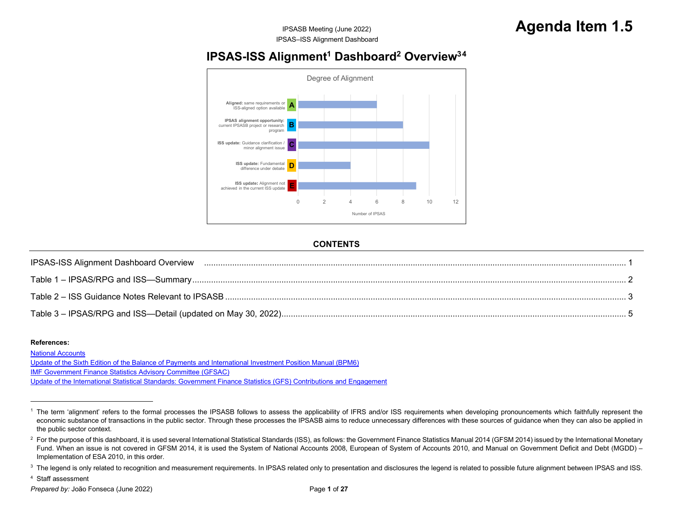#### <span id="page-0-1"></span>**[IPSAS-ISS](#page-0-1) [Alignment](#page-0-1)<sup>1</sup> [Dashboard](#page-0-3)<sup>2</sup> Overview<sup>34</sup>**

<span id="page-0-4"></span><span id="page-0-3"></span><span id="page-0-2"></span>

#### <span id="page-0-0"></span>**CONTENTS**

| <b>IPSAS-ISS Alignment Dashboard Overview</b>    |  |
|--------------------------------------------------|--|
|                                                  |  |
| Table 2 – ISS Guidance Notes Relevant to IPSASB. |  |
|                                                  |  |

#### **References:**

[National Accounts](https://unstats.un.org/unsd/nationalaccount/default.asp) [Update of the Sixth Edition of the Balance of Payments and International Investment Position Manual \(BPM6\)](https://www.imf.org/en/Data/Statistics/BPM)[IMF Government Finance Statistics Advisory Committee \(GFSAC\)](https://www.imf.org/external/pubs/ft/gfs/gfsac/)[Update of the International Statistical Standards: Government Finance Statistics \(GFS\) Contributions and Engagement](https://www.imf.org/external/pubs/ft/gfs/gfsac/standards.htm)

<sup>4</sup> Staff assessment

<sup>&</sup>lt;sup>1</sup> The term 'alignment' refers to the formal processes the IPSASB follows to assess the applicability of IFRS and/or ISS requirements when developing pronouncements which faithfully represent the economic substance of transactions in the public sector. Through these processes the IPSASB aims to reduce unnecessary differences with these sources of guidance when they can also be applied in the public sector context.

<sup>&</sup>lt;sup>2</sup> For the purpose of this dashboard, it is used several International Statistical Standards (ISS), as follows: the Government Finance Statistics Manual 2014 (GFSM 2014) issued by the International Monetary Fund. When an issue is not covered in GFSM 2014, it is used the System of National Accounts 2008, European of System of Accounts 2010, and Manual on Government Deficit and Debt (MGDD) -Implementation of ESA 2010, in this order.

<sup>&</sup>lt;sup>3</sup> The legend is only related to recognition and measurement requirements. In IPSAS related only to presentation and disclosures the legend is related to possible future alignment between IPSAS and ISS.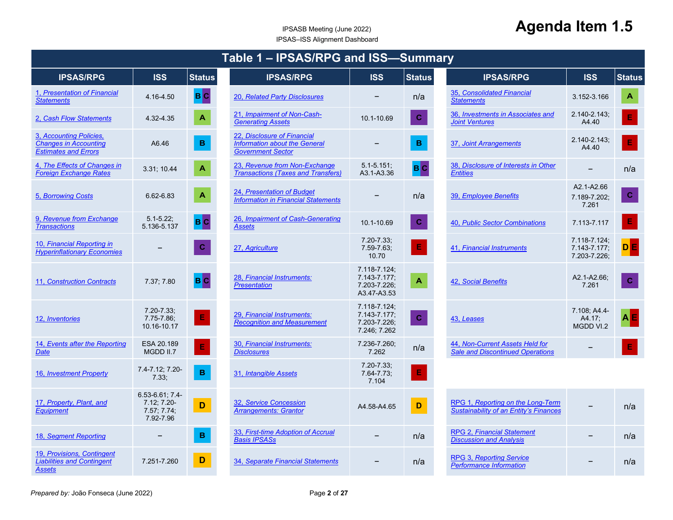<span id="page-1-38"></span><span id="page-1-37"></span><span id="page-1-36"></span><span id="page-1-35"></span><span id="page-1-34"></span><span id="page-1-33"></span><span id="page-1-32"></span><span id="page-1-31"></span><span id="page-1-30"></span><span id="page-1-29"></span><span id="page-1-28"></span><span id="page-1-27"></span><span id="page-1-26"></span><span id="page-1-25"></span><span id="page-1-24"></span><span id="page-1-23"></span><span id="page-1-22"></span><span id="page-1-21"></span><span id="page-1-20"></span><span id="page-1-19"></span><span id="page-1-18"></span><span id="page-1-17"></span><span id="page-1-16"></span><span id="page-1-15"></span><span id="page-1-14"></span><span id="page-1-13"></span><span id="page-1-12"></span><span id="page-1-11"></span><span id="page-1-10"></span><span id="page-1-9"></span><span id="page-1-8"></span><span id="page-1-7"></span><span id="page-1-6"></span><span id="page-1-5"></span><span id="page-1-4"></span><span id="page-1-3"></span><span id="page-1-2"></span><span id="page-1-1"></span><span id="page-1-0"></span>

| Table 1 - IPSAS/RPG and ISS-Summary                                                    |                                                               |                         |                                                                                          |                                                              |                           |                                                                                    |                                              |                  |
|----------------------------------------------------------------------------------------|---------------------------------------------------------------|-------------------------|------------------------------------------------------------------------------------------|--------------------------------------------------------------|---------------------------|------------------------------------------------------------------------------------|----------------------------------------------|------------------|
| <b>IPSAS/RPG</b>                                                                       | <b>ISS</b>                                                    | <b>Status</b>           | <b>IPSAS/RPG</b>                                                                         | <b>ISS</b>                                                   | <b>Status</b>             | <b>IPSAS/RPG</b>                                                                   | <b>ISS</b>                                   | <b>Status</b>    |
| 1, Presentation of Financial<br><b>Statements</b>                                      | 4.16-4.50                                                     | <b>BC</b>               | 20, Related Party Disclosures                                                            |                                                              | n/a                       | 35, Consolidated Financial<br><b>Statements</b>                                    | 3.152-3.166                                  | $\blacktriangle$ |
| 2. Cash Flow Statements                                                                | 4.32-4.35                                                     | $\overline{\mathbf{A}}$ | 21, Impairment of Non-Cash-<br><b>Generating Assets</b>                                  | 10.1-10.69                                                   | $\mathbf C$               | 36, Investments in Associates and<br><b>Joint Ventures</b>                         | 2.140-2.143:<br>A4.40                        | $\mathsf{E}$     |
| 3, Accounting Policies,<br><b>Changes in Accounting</b><br><b>Estimates and Errors</b> | A6.46                                                         | $\, {\bf B}$            | 22, Disclosure of Financial<br>Information about the General<br><b>Government Sector</b> |                                                              | $\, {\bf B}$              | 37, Joint Arrangements                                                             | 2.140-2.143;<br>A4.40                        | $\mathsf{E}$     |
| 4, The Effects of Changes in<br><b>Foreign Exchange Rates</b>                          | 3.31; 10.44                                                   | $\mathbf{A}$            | 23, Revenue from Non-Exchange<br><b>Transactions (Taxes and Transfers)</b>               | $5.1 - 5.151$ ;<br>A3.1-A3.36                                | <b>BC</b>                 | 38, Disclosure of Interests in Other<br><b>Entities</b>                            | $\overline{\phantom{m}}$                     | n/a              |
| 5, Borrowing Costs                                                                     | 6.62-6.83                                                     | $\blacktriangle$        | 24, Presentation of Budget<br><b>Information in Financial Statements</b>                 |                                                              | n/a                       | 39, Employee Benefits                                                              | A2.1-A2.66<br>7.189-7.202;<br>7.261          | $\mathbf{C}$     |
| 9, Revenue from Exchange<br><b>Transactions</b>                                        | $5.1 - 5.22$ ;<br>5.136-5.137                                 | B C                     | 26, Impairment of Cash-Generating<br><b>Assets</b>                                       | 10.1-10.69                                                   | $\mathbf{C}$              | 40, Public Sector Combinations                                                     | 7.113-7.117                                  | $\mathsf{E}$     |
| 10, Financial Reporting in<br><b>Hyperinflationary Economies</b>                       |                                                               | $\mathbf C$             | 27, Agriculture                                                                          | $7.20 - 7.33$ :<br>$7.59 - 7.63$ ;<br>10.70                  | $\mathsf E$               | 41, Financial Instruments                                                          | 7.118-7.124:<br>7.143-7.177;<br>7.203-7.226; | <b>DE</b>        |
| 11, Construction Contracts                                                             | 7.37, 7.80                                                    | B C                     | 28, Financial Instruments:<br><b>Presentation</b>                                        | 7.118-7.124;<br>7.143-7.177;<br>7.203-7.226;<br>A3.47-A3.53  | $\boldsymbol{\mathsf{A}}$ | 42, Social Benefits                                                                | A2.1-A2.66;<br>7.261                         | $\mathbf C$      |
| 12, Inventories                                                                        | $7.20 - 7.33$ ;<br>7.75-7.86;<br>10.16-10.17                  | $\vert\mathbf{E}\vert$  | 29, Financial Instruments:<br><b>Recognition and Measurement</b>                         | 7.118-7.124;<br>7.143-7.177;<br>7.203-7.226;<br>7.246; 7.262 | $\mathbf C$               | 43, Leases                                                                         | 7.108; A4.4-<br>A4.17;<br>MGDD VI.2          | <b>AE</b>        |
| 14, Events after the Reporting<br><b>Date</b>                                          | ESA 20.189<br>MGDD II.7                                       | $\mathsf{E}$            | 30, Financial Instruments:<br><b>Disclosures</b>                                         | 7.236-7.260;<br>7.262                                        | n/a                       | 44, Non-Current Assets Held for<br><b>Sale and Discontinued Operations</b>         |                                              | E                |
| 16, Investment Property                                                                | 7.4-7.12; 7.20-<br>7.33.                                      | $\, {\bf B} \,$         | 31, Intangible Assets                                                                    | $7.20 - 7.33$ ;<br>$7.64 - 7.73$ ;<br>7.104                  | $\mathsf E$               |                                                                                    |                                              |                  |
| 17, Property, Plant, and<br><b>Equipment</b>                                           | 6.53-6.61, 7.4-<br>$7.12; 7.20$ -<br>7.57; 7.74;<br>7.92-7.96 | D                       | 32, Service Concession<br><b>Arrangements: Grantor</b>                                   | A4.58-A4.65                                                  | $\mathbf D$               | RPG 1, Reporting on the Long-Term<br><b>Sustainability of an Entity's Finances</b> |                                              | n/a              |
| 18, Segment Reporting                                                                  |                                                               | $\, {\bf B}$            | 33, First-time Adoption of Accrual<br><b>Basis IPSASs</b>                                | $\overline{\phantom{0}}$                                     | n/a                       | <b>RPG 2, Financial Statement</b><br><b>Discussion and Analysis</b>                |                                              | n/a              |
| 19, Provisions, Contingent<br><b>Liabilities and Contingent</b><br>Assets              | 7.251-7.260                                                   | D                       | 34, Separate Financial Statements                                                        |                                                              | n/a                       | <b>RPG 3, Reporting Service</b><br><b>Performance Information</b>                  |                                              | n/a              |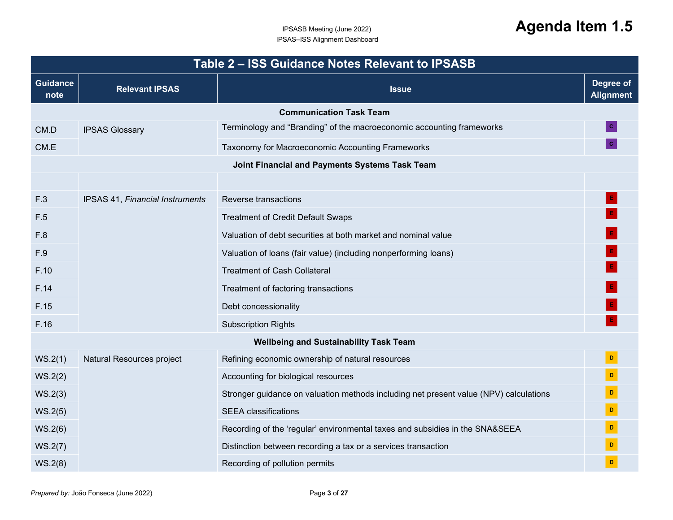<span id="page-2-0"></span>

|                         |                                 | Table 2 - ISS Guidance Notes Relevant to IPSASB                                       |                               |
|-------------------------|---------------------------------|---------------------------------------------------------------------------------------|-------------------------------|
| <b>Guidance</b><br>note | <b>Relevant IPSAS</b>           | <b>Issue</b>                                                                          | Degree of<br><b>Alignment</b> |
|                         |                                 | <b>Communication Task Team</b>                                                        |                               |
| CM.D                    | <b>IPSAS Glossary</b>           | Terminology and "Branding" of the macroeconomic accounting frameworks                 |                               |
| CM.E                    |                                 | Taxonomy for Macroeconomic Accounting Frameworks                                      |                               |
|                         |                                 | Joint Financial and Payments Systems Task Team                                        |                               |
|                         |                                 |                                                                                       |                               |
| F.3                     | IPSAS 41, Financial Instruments | Reverse transactions                                                                  |                               |
| F.5                     |                                 | <b>Treatment of Credit Default Swaps</b>                                              |                               |
| F.8                     |                                 | Valuation of debt securities at both market and nominal value                         |                               |
| F.9                     |                                 | Valuation of loans (fair value) (including nonperforming loans)                       |                               |
| F.10                    |                                 | <b>Treatment of Cash Collateral</b>                                                   |                               |
| F.14                    |                                 | Treatment of factoring transactions                                                   |                               |
| F.15                    |                                 | Debt concessionality                                                                  |                               |
| F.16                    |                                 | <b>Subscription Rights</b>                                                            |                               |
|                         |                                 | <b>Wellbeing and Sustainability Task Team</b>                                         |                               |
| WS.2(1)                 | Natural Resources project       | Refining economic ownership of natural resources                                      | $\mathbf{D}$                  |
| WS.2(2)                 |                                 | Accounting for biological resources                                                   | $\mathbf D$                   |
| WS.2(3)                 |                                 | Stronger guidance on valuation methods including net present value (NPV) calculations | $\mathbf D$                   |
| WS.2(5)                 |                                 | <b>SEEA</b> classifications                                                           | $\,$ D                        |
| WS.2(6)                 |                                 | Recording of the 'regular' environmental taxes and subsidies in the SNA&SEEA          | D                             |
| WS.2(7)                 |                                 | Distinction between recording a tax or a services transaction                         | D                             |
| WS.2(8)                 |                                 | Recording of pollution permits                                                        | D                             |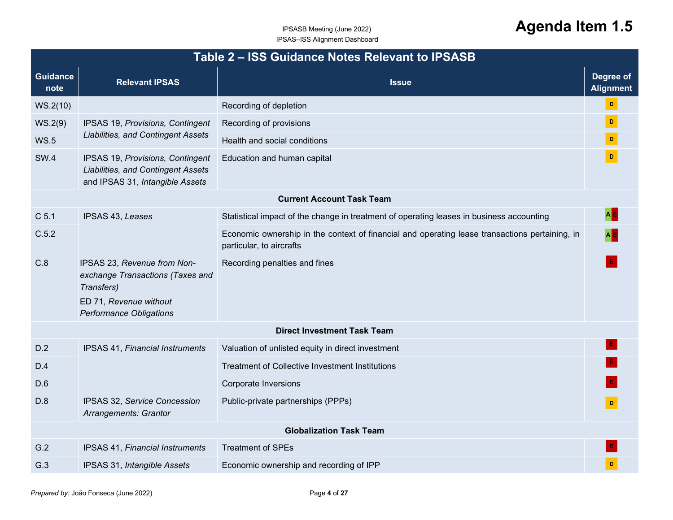|                         | Table 2 - ISS Guidance Notes Relevant to IPSASB                                                                                           |                                                                                                                            |                               |  |  |  |  |  |
|-------------------------|-------------------------------------------------------------------------------------------------------------------------------------------|----------------------------------------------------------------------------------------------------------------------------|-------------------------------|--|--|--|--|--|
| <b>Guidance</b><br>note | <b>Relevant IPSAS</b>                                                                                                                     | <b>Issue</b>                                                                                                               | Degree of<br><b>Alignment</b> |  |  |  |  |  |
| WS.2(10)                |                                                                                                                                           | Recording of depletion                                                                                                     | $\mathbf{D}^-$                |  |  |  |  |  |
| WS.2(9)                 | IPSAS 19, Provisions, Contingent                                                                                                          | Recording of provisions                                                                                                    | $\mathbf{D}^{\top}$           |  |  |  |  |  |
| <b>WS.5</b>             | <b>Liabilities, and Contingent Assets</b>                                                                                                 | Health and social conditions                                                                                               | $\mathbf{D}^{\top}$           |  |  |  |  |  |
| <b>SW.4</b>             | IPSAS 19, Provisions, Contingent<br>Liabilities, and Contingent Assets<br>and IPSAS 31, Intangible Assets                                 | Education and human capital                                                                                                |                               |  |  |  |  |  |
|                         |                                                                                                                                           | <b>Current Account Task Team</b>                                                                                           |                               |  |  |  |  |  |
| C <sub>5.1</sub>        | IPSAS 43, Leases                                                                                                                          | Statistical impact of the change in treatment of operating leases in business accounting                                   |                               |  |  |  |  |  |
| C.5.2                   |                                                                                                                                           | Economic ownership in the context of financial and operating lease transactions pertaining, in<br>particular, to aircrafts | $A$ $E$                       |  |  |  |  |  |
| C.8                     | IPSAS 23, Revenue from Non-<br>exchange Transactions (Taxes and<br>Transfers)<br>ED 71, Revenue without<br><b>Performance Obligations</b> | Recording penalties and fines                                                                                              |                               |  |  |  |  |  |
|                         |                                                                                                                                           | <b>Direct Investment Task Team</b>                                                                                         |                               |  |  |  |  |  |
| D.2                     | <b>IPSAS 41, Financial Instruments</b>                                                                                                    | Valuation of unlisted equity in direct investment                                                                          |                               |  |  |  |  |  |
| D.4                     |                                                                                                                                           | Treatment of Collective Investment Institutions                                                                            |                               |  |  |  |  |  |
| D.6                     |                                                                                                                                           | <b>Corporate Inversions</b>                                                                                                |                               |  |  |  |  |  |
| D.8                     | IPSAS 32, Service Concession<br>Arrangements: Grantor                                                                                     | Public-private partnerships (PPPs)                                                                                         | $\mathbf{D}$                  |  |  |  |  |  |
|                         |                                                                                                                                           | <b>Globalization Task Team</b>                                                                                             |                               |  |  |  |  |  |
| G.2                     | IPSAS 41, Financial Instruments                                                                                                           | <b>Treatment of SPEs</b>                                                                                                   |                               |  |  |  |  |  |
| G.3                     | IPSAS 31, Intangible Assets                                                                                                               | Economic ownership and recording of IPP                                                                                    | D                             |  |  |  |  |  |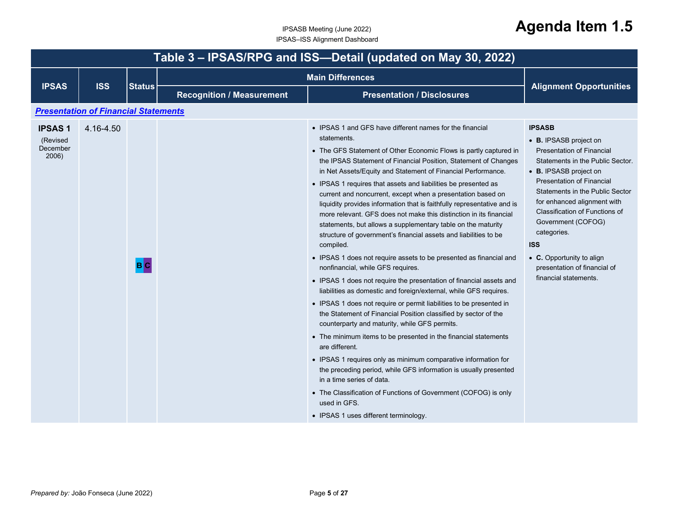<span id="page-4-1"></span><span id="page-4-0"></span>

|                                                | Table 3 - IPSAS/RPG and ISS-Detail (updated on May 30, 2022)                    |     |  |                                                                                                                                                                                                                                                                                                                                                                                                                                                                                                                                                                                                                                                                                                                                                                                                                                                                                                                                                                                                                                                                                                                                                                                                                                                                                                                                                                                                                                                                                                                                                          |                                                                                                                                                                                                                                                                                                                                                                                                                            |  |  |  |
|------------------------------------------------|---------------------------------------------------------------------------------|-----|--|----------------------------------------------------------------------------------------------------------------------------------------------------------------------------------------------------------------------------------------------------------------------------------------------------------------------------------------------------------------------------------------------------------------------------------------------------------------------------------------------------------------------------------------------------------------------------------------------------------------------------------------------------------------------------------------------------------------------------------------------------------------------------------------------------------------------------------------------------------------------------------------------------------------------------------------------------------------------------------------------------------------------------------------------------------------------------------------------------------------------------------------------------------------------------------------------------------------------------------------------------------------------------------------------------------------------------------------------------------------------------------------------------------------------------------------------------------------------------------------------------------------------------------------------------------|----------------------------------------------------------------------------------------------------------------------------------------------------------------------------------------------------------------------------------------------------------------------------------------------------------------------------------------------------------------------------------------------------------------------------|--|--|--|
|                                                |                                                                                 |     |  |                                                                                                                                                                                                                                                                                                                                                                                                                                                                                                                                                                                                                                                                                                                                                                                                                                                                                                                                                                                                                                                                                                                                                                                                                                                                                                                                                                                                                                                                                                                                                          |                                                                                                                                                                                                                                                                                                                                                                                                                            |  |  |  |
|                                                | <b>ISS</b><br><b>IPSAS</b><br><b>Status</b><br><b>Recognition / Measurement</b> |     |  | <b>Presentation / Disclosures</b>                                                                                                                                                                                                                                                                                                                                                                                                                                                                                                                                                                                                                                                                                                                                                                                                                                                                                                                                                                                                                                                                                                                                                                                                                                                                                                                                                                                                                                                                                                                        | <b>Alignment Opportunities</b>                                                                                                                                                                                                                                                                                                                                                                                             |  |  |  |
|                                                | <b>Presentation of Financial Statements</b>                                     |     |  |                                                                                                                                                                                                                                                                                                                                                                                                                                                                                                                                                                                                                                                                                                                                                                                                                                                                                                                                                                                                                                                                                                                                                                                                                                                                                                                                                                                                                                                                                                                                                          |                                                                                                                                                                                                                                                                                                                                                                                                                            |  |  |  |
| <b>IPSAS1</b><br>(Revised<br>December<br>2006) | 4.16-4.50                                                                       | B C |  | • IPSAS 1 and GFS have different names for the financial<br>statements.<br>• The GFS Statement of Other Economic Flows is partly captured in<br>the IPSAS Statement of Financial Position, Statement of Changes<br>in Net Assets/Equity and Statement of Financial Performance.<br>• IPSAS 1 requires that assets and liabilities be presented as<br>current and noncurrent, except when a presentation based on<br>liquidity provides information that is faithfully representative and is<br>more relevant. GFS does not make this distinction in its financial<br>statements, but allows a supplementary table on the maturity<br>structure of government's financial assets and liabilities to be<br>compiled.<br>• IPSAS 1 does not require assets to be presented as financial and<br>nonfinancial, while GFS requires.<br>• IPSAS 1 does not require the presentation of financial assets and<br>liabilities as domestic and foreign/external, while GFS requires.<br>• IPSAS 1 does not require or permit liabilities to be presented in<br>the Statement of Financial Position classified by sector of the<br>counterparty and maturity, while GFS permits.<br>• The minimum items to be presented in the financial statements<br>are different.<br>• IPSAS 1 requires only as minimum comparative information for<br>the preceding period, while GFS information is usually presented<br>in a time series of data.<br>• The Classification of Functions of Government (COFOG) is only<br>used in GFS.<br>• IPSAS 1 uses different terminology. | <b>IPSASB</b><br>• B. IPSASB project on<br><b>Presentation of Financial</b><br>Statements in the Public Sector.<br>• B. IPSASB project on<br><b>Presentation of Financial</b><br>Statements in the Public Sector<br>for enhanced alignment with<br>Classification of Functions of<br>Government (COFOG)<br>categories.<br><b>ISS</b><br>• C. Opportunity to align<br>presentation of financial of<br>financial statements. |  |  |  |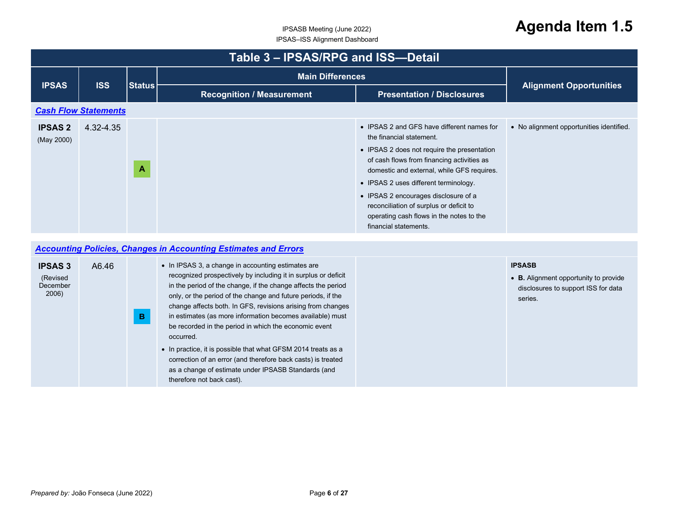## <span id="page-5-0"></span>IPSASB Meeting (June 2022) **Agenda Item 1.5**

|                              | Table 3 - IPSAS/RPG and ISS-Detail |               |                                  |                                                                                                                                                                                                                                                                                                                                                                                                                    |                                          |  |  |
|------------------------------|------------------------------------|---------------|----------------------------------|--------------------------------------------------------------------------------------------------------------------------------------------------------------------------------------------------------------------------------------------------------------------------------------------------------------------------------------------------------------------------------------------------------------------|------------------------------------------|--|--|
|                              |                                    | <b>Status</b> |                                  | <b>Main Differences</b>                                                                                                                                                                                                                                                                                                                                                                                            |                                          |  |  |
| <b>IPSAS</b>                 | <b>ISS</b>                         |               | <b>Recognition / Measurement</b> | <b>Presentation / Disclosures</b>                                                                                                                                                                                                                                                                                                                                                                                  | <b>Alignment Opportunities</b>           |  |  |
|                              | <b>Cash Flow Statements</b>        |               |                                  |                                                                                                                                                                                                                                                                                                                                                                                                                    |                                          |  |  |
| <b>IPSAS 2</b><br>(May 2000) | 4.32-4.35                          | A             |                                  | • IPSAS 2 and GFS have different names for<br>the financial statement.<br>• IPSAS 2 does not require the presentation<br>of cash flows from financing activities as<br>domestic and external, while GFS requires.<br>• IPSAS 2 uses different terminology.<br>• IPSAS 2 encourages disclosure of a<br>reconciliation of surplus or deficit to<br>operating cash flows in the notes to the<br>financial statements. | • No alignment opportunities identified. |  |  |

#### *Accounting Policies, Changes in Accounting Estimates and Errors*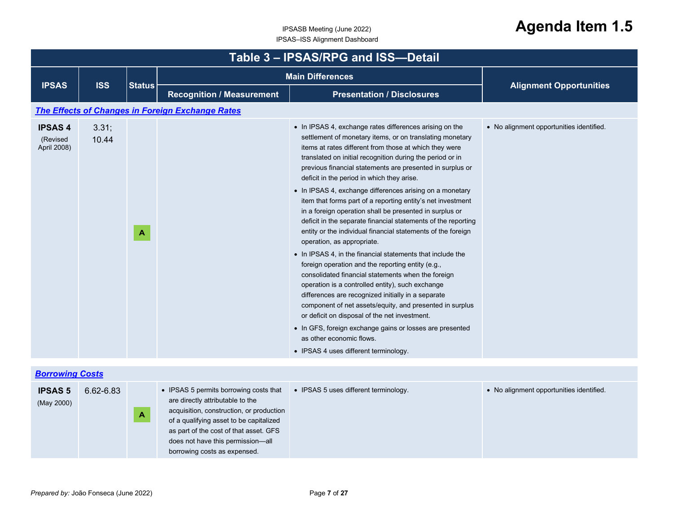| <b>Main Differences</b><br><b>ISS</b><br><b>IPSAS</b><br><b>Alignment Opportunities</b><br><b>Status</b><br><b>Recognition / Measurement</b><br><b>Presentation / Disclosures</b><br>The Effects of Changes in Foreign Exchange Rates<br>• In IPSAS 4, exchange rates differences arising on the<br>• No alignment opportunities identified.<br><b>IPSAS4</b><br>3.31;<br>settlement of monetary items, or on translating monetary<br>10.44<br>(Revised<br>items at rates different from those at which they were<br>April 2008)<br>translated on initial recognition during the period or in<br>previous financial statements are presented in surplus or<br>deficit in the period in which they arise.<br>• In IPSAS 4, exchange differences arising on a monetary<br>item that forms part of a reporting entity's net investment<br>in a foreign operation shall be presented in surplus or<br>deficit in the separate financial statements of the reporting<br>entity or the individual financial statements of the foreign<br>$\mathbf{A}$<br>operation, as appropriate.<br>• In IPSAS 4, in the financial statements that include the<br>foreign operation and the reporting entity (e.g.,<br>consolidated financial statements when the foreign<br>operation is a controlled entity), such exchange | Table 3 - IPSAS/RPG and ISS-Detail |  |  |  |  |  |  |  |
|------------------------------------------------------------------------------------------------------------------------------------------------------------------------------------------------------------------------------------------------------------------------------------------------------------------------------------------------------------------------------------------------------------------------------------------------------------------------------------------------------------------------------------------------------------------------------------------------------------------------------------------------------------------------------------------------------------------------------------------------------------------------------------------------------------------------------------------------------------------------------------------------------------------------------------------------------------------------------------------------------------------------------------------------------------------------------------------------------------------------------------------------------------------------------------------------------------------------------------------------------------------------------------------------------------|------------------------------------|--|--|--|--|--|--|--|
|                                                                                                                                                                                                                                                                                                                                                                                                                                                                                                                                                                                                                                                                                                                                                                                                                                                                                                                                                                                                                                                                                                                                                                                                                                                                                                            |                                    |  |  |  |  |  |  |  |
|                                                                                                                                                                                                                                                                                                                                                                                                                                                                                                                                                                                                                                                                                                                                                                                                                                                                                                                                                                                                                                                                                                                                                                                                                                                                                                            |                                    |  |  |  |  |  |  |  |
|                                                                                                                                                                                                                                                                                                                                                                                                                                                                                                                                                                                                                                                                                                                                                                                                                                                                                                                                                                                                                                                                                                                                                                                                                                                                                                            |                                    |  |  |  |  |  |  |  |
| differences are recognized initially in a separate<br>component of net assets/equity, and presented in surplus<br>or deficit on disposal of the net investment.<br>• In GFS, foreign exchange gains or losses are presented<br>as other economic flows.<br>• IPSAS 4 uses different terminology.                                                                                                                                                                                                                                                                                                                                                                                                                                                                                                                                                                                                                                                                                                                                                                                                                                                                                                                                                                                                           |                                    |  |  |  |  |  |  |  |

|  |  | Borrowing Costs |  |
|--|--|-----------------|--|
|  |  |                 |  |

| <b>IPSAS 5</b><br>(May 2000) | 6.62-6.83<br>A | • IPSAS 5 permits borrowing costs that<br>are directly attributable to the<br>acquisition, construction, or production<br>of a qualifying asset to be capitalized<br>as part of the cost of that asset. GFS<br>does not have this permission-all<br>borrowing costs as expensed. | • IPSAS 5 uses different terminology. | • No alignment opportunities identified. |
|------------------------------|----------------|----------------------------------------------------------------------------------------------------------------------------------------------------------------------------------------------------------------------------------------------------------------------------------|---------------------------------------|------------------------------------------|
|------------------------------|----------------|----------------------------------------------------------------------------------------------------------------------------------------------------------------------------------------------------------------------------------------------------------------------------------|---------------------------------------|------------------------------------------|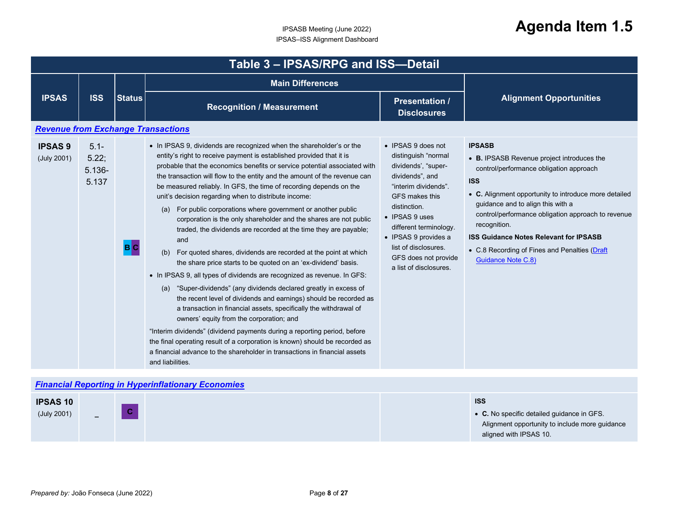<span id="page-7-1"></span><span id="page-7-0"></span>

| Table 3 - IPSAS/RPG and ISS-Detail |                                                           |               |                                                                                                                                                                                                                                                                                                                                                                                                                                                                                                                                                                                                                                                                                                                                                                                                                                                                                                                                                                                                                                                                                                                                                                                                                                                                                                                                                                                                           |                                                                                                                                                                                                                                                                                             |                                                                                                                                                                                                                                                                                                                                                                                                                         |  |  |  |
|------------------------------------|-----------------------------------------------------------|---------------|-----------------------------------------------------------------------------------------------------------------------------------------------------------------------------------------------------------------------------------------------------------------------------------------------------------------------------------------------------------------------------------------------------------------------------------------------------------------------------------------------------------------------------------------------------------------------------------------------------------------------------------------------------------------------------------------------------------------------------------------------------------------------------------------------------------------------------------------------------------------------------------------------------------------------------------------------------------------------------------------------------------------------------------------------------------------------------------------------------------------------------------------------------------------------------------------------------------------------------------------------------------------------------------------------------------------------------------------------------------------------------------------------------------|---------------------------------------------------------------------------------------------------------------------------------------------------------------------------------------------------------------------------------------------------------------------------------------------|-------------------------------------------------------------------------------------------------------------------------------------------------------------------------------------------------------------------------------------------------------------------------------------------------------------------------------------------------------------------------------------------------------------------------|--|--|--|
|                                    |                                                           |               | <b>Main Differences</b>                                                                                                                                                                                                                                                                                                                                                                                                                                                                                                                                                                                                                                                                                                                                                                                                                                                                                                                                                                                                                                                                                                                                                                                                                                                                                                                                                                                   |                                                                                                                                                                                                                                                                                             |                                                                                                                                                                                                                                                                                                                                                                                                                         |  |  |  |
| <b>IPSAS</b>                       | <b>ISS</b>                                                | <b>Status</b> | <b>Recognition / Measurement</b>                                                                                                                                                                                                                                                                                                                                                                                                                                                                                                                                                                                                                                                                                                                                                                                                                                                                                                                                                                                                                                                                                                                                                                                                                                                                                                                                                                          | <b>Presentation /</b><br><b>Disclosures</b>                                                                                                                                                                                                                                                 | <b>Alignment Opportunities</b>                                                                                                                                                                                                                                                                                                                                                                                          |  |  |  |
|                                    | <b>Revenue from Exchange Transactions</b>                 |               |                                                                                                                                                                                                                                                                                                                                                                                                                                                                                                                                                                                                                                                                                                                                                                                                                                                                                                                                                                                                                                                                                                                                                                                                                                                                                                                                                                                                           |                                                                                                                                                                                                                                                                                             |                                                                                                                                                                                                                                                                                                                                                                                                                         |  |  |  |
| <b>IPSAS 9</b><br>(July 2001)      | $5.1 -$<br>5.22;<br>$5.136 -$<br>5.137                    | B C           | • In IPSAS 9, dividends are recognized when the shareholder's or the<br>entity's right to receive payment is established provided that it is<br>probable that the economics benefits or service potential associated with<br>the transaction will flow to the entity and the amount of the revenue can<br>be measured reliably. In GFS, the time of recording depends on the<br>unit's decision regarding when to distribute income:<br>For public corporations where government or another public<br>(a)<br>corporation is the only shareholder and the shares are not public<br>traded, the dividends are recorded at the time they are payable;<br>and<br>For quoted shares, dividends are recorded at the point at which<br>(b)<br>the share price starts to be quoted on an 'ex-dividend' basis.<br>• In IPSAS 9, all types of dividends are recognized as revenue. In GFS:<br>(a) "Super-dividends" (any dividends declared greatly in excess of<br>the recent level of dividends and earnings) should be recorded as<br>a transaction in financial assets, specifically the withdrawal of<br>owners' equity from the corporation; and<br>"Interim dividends" (dividend payments during a reporting period, before<br>the final operating result of a corporation is known) should be recorded as<br>a financial advance to the shareholder in transactions in financial assets<br>and liabilities. | • IPSAS 9 does not<br>distinguish "normal<br>dividends', "super-<br>dividends", and<br>"interim dividends".<br>GFS makes this<br>distinction.<br>• IPSAS 9 uses<br>different terminology.<br>• IPSAS 9 provides a<br>list of disclosures.<br>GFS does not provide<br>a list of disclosures. | <b>IPSASB</b><br>• B. IPSASB Revenue project introduces the<br>control/performance obligation approach<br><b>ISS</b><br>• C. Alignment opportunity to introduce more detailed<br>guidance and to align this with a<br>control/performance obligation approach to revenue<br>recognition.<br><b>ISS Guidance Notes Relevant for IPSASB</b><br>• C.8 Recording of Fines and Penalties (Draft<br><b>Guidance Note C.8)</b> |  |  |  |
|                                    | <b>Financial Reporting in Hyperinflationary Economies</b> |               |                                                                                                                                                                                                                                                                                                                                                                                                                                                                                                                                                                                                                                                                                                                                                                                                                                                                                                                                                                                                                                                                                                                                                                                                                                                                                                                                                                                                           |                                                                                                                                                                                                                                                                                             |                                                                                                                                                                                                                                                                                                                                                                                                                         |  |  |  |
| <b>IPSAS10</b><br>(July 2001)      |                                                           | C             |                                                                                                                                                                                                                                                                                                                                                                                                                                                                                                                                                                                                                                                                                                                                                                                                                                                                                                                                                                                                                                                                                                                                                                                                                                                                                                                                                                                                           |                                                                                                                                                                                                                                                                                             | <b>ISS</b><br>• C. No specific detailed guidance in GFS.<br>Alignment opportunity to include more guidance<br>aligned with IPSAS 10.                                                                                                                                                                                                                                                                                    |  |  |  |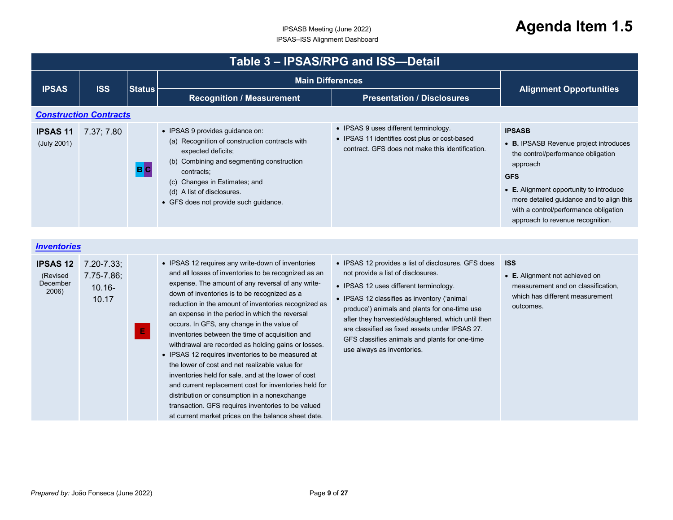<span id="page-8-1"></span><span id="page-8-0"></span>

| Table 3 - IPSAS/RPG and ISS-Detail |                               |               |                                                                                                                                                                                                                                                                            |                                                                                                                                            |                                                                                                                                                                                                                                                                                             |  |
|------------------------------------|-------------------------------|---------------|----------------------------------------------------------------------------------------------------------------------------------------------------------------------------------------------------------------------------------------------------------------------------|--------------------------------------------------------------------------------------------------------------------------------------------|---------------------------------------------------------------------------------------------------------------------------------------------------------------------------------------------------------------------------------------------------------------------------------------------|--|
| <b>IPSAS</b>                       |                               |               | <b>Main Differences</b>                                                                                                                                                                                                                                                    |                                                                                                                                            |                                                                                                                                                                                                                                                                                             |  |
|                                    | <b>ISS</b>                    | <b>Status</b> | <b>Recognition / Measurement</b>                                                                                                                                                                                                                                           | <b>Presentation / Disclosures</b>                                                                                                          | <b>Alignment Opportunities</b>                                                                                                                                                                                                                                                              |  |
|                                    | <b>Construction Contracts</b> |               |                                                                                                                                                                                                                                                                            |                                                                                                                                            |                                                                                                                                                                                                                                                                                             |  |
| <b>IPSAS 11</b><br>(July 2001)     | 7.37; 7.80                    | B C           | • IPSAS 9 provides guidance on:<br>(a) Recognition of construction contracts with<br>expected deficits;<br>(b) Combining and segmenting construction<br>contracts;<br>(c) Changes in Estimates; and<br>(d) A list of disclosures.<br>• GFS does not provide such guidance. | • IPSAS 9 uses different terminology.<br>• IPSAS 11 identifies cost plus or cost-based<br>contract. GFS does not make this identification. | <b>IPSASB</b><br>• B. IPSASB Revenue project introduces<br>the control/performance obligation<br>approach<br><b>GFS</b><br>• E. Alignment opportunity to introduce<br>more detailed guidance and to align this<br>with a control/performance obligation<br>approach to revenue recognition. |  |

| <i><u><b>Inventories</b></u></i>                 |                                                          |   |                                                                                                                                                                                                                                                                                                                                                                                                                                                                                                                                                                                                                                                                                                                                                                                                                                                                      |                                                                                                                                                                                                                                                                                                                                                                                                                             |                                                                                                                                    |
|--------------------------------------------------|----------------------------------------------------------|---|----------------------------------------------------------------------------------------------------------------------------------------------------------------------------------------------------------------------------------------------------------------------------------------------------------------------------------------------------------------------------------------------------------------------------------------------------------------------------------------------------------------------------------------------------------------------------------------------------------------------------------------------------------------------------------------------------------------------------------------------------------------------------------------------------------------------------------------------------------------------|-----------------------------------------------------------------------------------------------------------------------------------------------------------------------------------------------------------------------------------------------------------------------------------------------------------------------------------------------------------------------------------------------------------------------------|------------------------------------------------------------------------------------------------------------------------------------|
| <b>IPSAS 12</b><br>(Revised<br>December<br>2006) | $7.20 - 7.33$ ;<br>$7.75 - 7.86$ ;<br>$10.16 -$<br>10.17 | E | • IPSAS 12 requires any write-down of inventories<br>and all losses of inventories to be recognized as an<br>expense. The amount of any reversal of any write-<br>down of inventories is to be recognized as a<br>reduction in the amount of inventories recognized as<br>an expense in the period in which the reversal<br>occurs. In GFS, any change in the value of<br>inventories between the time of acquisition and<br>withdrawal are recorded as holding gains or losses.<br>• IPSAS 12 requires inventories to be measured at<br>the lower of cost and net realizable value for<br>inventories held for sale, and at the lower of cost<br>and current replacement cost for inventories held for<br>distribution or consumption in a nonexchange<br>transaction. GFS requires inventories to be valued<br>at current market prices on the balance sheet date. | • IPSAS 12 provides a list of disclosures. GFS does<br>not provide a list of disclosures.<br>• IPSAS 12 uses different terminology.<br>• IPSAS 12 classifies as inventory ('animal<br>produce') animals and plants for one-time use<br>after they harvested/slaughtered, which until then<br>are classified as fixed assets under IPSAS 27.<br>GFS classifies animals and plants for one-time<br>use always as inventories. | <b>ISS</b><br>• E. Alignment not achieved on<br>measurement and on classification.<br>which has different measurement<br>outcomes. |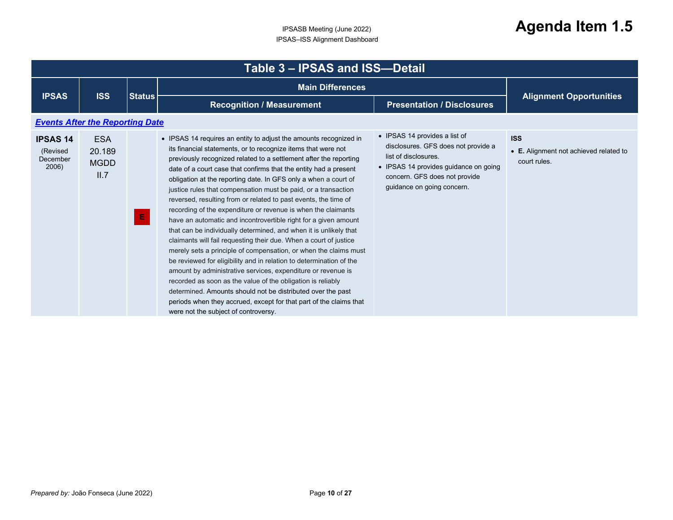<span id="page-9-0"></span>

| <b>IPSAS</b>                                     | <b>ISS</b>                                  | <b>Status</b> | <b>Main Differences</b>                                                                                                                                                                                                                                                                                                                                                                                                                                                                                                                                                                                                                                                                                                                                                                                                                                                                                                                                                                                                                                                                                                                                                                                                  |                                                                                                                                                                                                      |                                                                      |
|--------------------------------------------------|---------------------------------------------|---------------|--------------------------------------------------------------------------------------------------------------------------------------------------------------------------------------------------------------------------------------------------------------------------------------------------------------------------------------------------------------------------------------------------------------------------------------------------------------------------------------------------------------------------------------------------------------------------------------------------------------------------------------------------------------------------------------------------------------------------------------------------------------------------------------------------------------------------------------------------------------------------------------------------------------------------------------------------------------------------------------------------------------------------------------------------------------------------------------------------------------------------------------------------------------------------------------------------------------------------|------------------------------------------------------------------------------------------------------------------------------------------------------------------------------------------------------|----------------------------------------------------------------------|
|                                                  |                                             |               | <b>Recognition / Measurement</b>                                                                                                                                                                                                                                                                                                                                                                                                                                                                                                                                                                                                                                                                                                                                                                                                                                                                                                                                                                                                                                                                                                                                                                                         | <b>Presentation / Disclosures</b>                                                                                                                                                                    | <b>Alignment Opportunities</b>                                       |
|                                                  | <b>Events After the Reporting Date</b>      |               |                                                                                                                                                                                                                                                                                                                                                                                                                                                                                                                                                                                                                                                                                                                                                                                                                                                                                                                                                                                                                                                                                                                                                                                                                          |                                                                                                                                                                                                      |                                                                      |
| <b>IPSAS 14</b><br>(Revised<br>December<br>2006) | <b>ESA</b><br>20.189<br><b>MGDD</b><br>II.7 | Ε.            | • IPSAS 14 requires an entity to adjust the amounts recognized in<br>its financial statements, or to recognize items that were not<br>previously recognized related to a settlement after the reporting<br>date of a court case that confirms that the entity had a present<br>obligation at the reporting date. In GFS only a when a court of<br>justice rules that compensation must be paid, or a transaction<br>reversed, resulting from or related to past events, the time of<br>recording of the expenditure or revenue is when the claimants<br>have an automatic and incontrovertible right for a given amount<br>that can be individually determined, and when it is unlikely that<br>claimants will fail requesting their due. When a court of justice<br>merely sets a principle of compensation, or when the claims must<br>be reviewed for eligibility and in relation to determination of the<br>amount by administrative services, expenditure or revenue is<br>recorded as soon as the value of the obligation is reliably<br>determined. Amounts should not be distributed over the past<br>periods when they accrued, except for that part of the claims that<br>were not the subject of controversy. | • IPSAS 14 provides a list of<br>disclosures. GFS does not provide a<br>list of disclosures.<br>• IPSAS 14 provides guidance on going<br>concern. GFS does not provide<br>guidance on going concern. | <b>ISS</b><br>• E. Alignment not achieved related to<br>court rules. |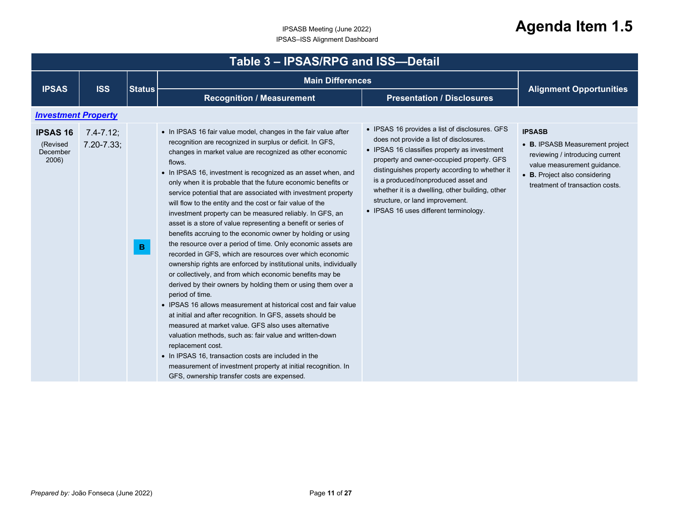<span id="page-10-0"></span>

|                                                  | Table 3 - IPSAS/RPG and ISS-Detail |                 |                                                                                                                                                                                                                                                                                                                                                                                                                                                                                                                                                                                                                                                                                                                                                                                                                                                                                                                                                                                                                                                                                                                                                                                                                                                                                                                                                                                                                                                                  |                                                                                                                                                                                                                                                                                                                                                                                                                 |                                                                                                                                                                                        |  |  |  |
|--------------------------------------------------|------------------------------------|-----------------|------------------------------------------------------------------------------------------------------------------------------------------------------------------------------------------------------------------------------------------------------------------------------------------------------------------------------------------------------------------------------------------------------------------------------------------------------------------------------------------------------------------------------------------------------------------------------------------------------------------------------------------------------------------------------------------------------------------------------------------------------------------------------------------------------------------------------------------------------------------------------------------------------------------------------------------------------------------------------------------------------------------------------------------------------------------------------------------------------------------------------------------------------------------------------------------------------------------------------------------------------------------------------------------------------------------------------------------------------------------------------------------------------------------------------------------------------------------|-----------------------------------------------------------------------------------------------------------------------------------------------------------------------------------------------------------------------------------------------------------------------------------------------------------------------------------------------------------------------------------------------------------------|----------------------------------------------------------------------------------------------------------------------------------------------------------------------------------------|--|--|--|
|                                                  |                                    |                 | <b>Main Differences</b>                                                                                                                                                                                                                                                                                                                                                                                                                                                                                                                                                                                                                                                                                                                                                                                                                                                                                                                                                                                                                                                                                                                                                                                                                                                                                                                                                                                                                                          |                                                                                                                                                                                                                                                                                                                                                                                                                 |                                                                                                                                                                                        |  |  |  |
| <b>IPSAS</b>                                     | <b>ISS</b>                         | <b>Status</b>   | <b>Recognition / Measurement</b>                                                                                                                                                                                                                                                                                                                                                                                                                                                                                                                                                                                                                                                                                                                                                                                                                                                                                                                                                                                                                                                                                                                                                                                                                                                                                                                                                                                                                                 | <b>Presentation / Disclosures</b>                                                                                                                                                                                                                                                                                                                                                                               | <b>Alignment Opportunities</b>                                                                                                                                                         |  |  |  |
| <b>Investment Property</b>                       |                                    |                 |                                                                                                                                                                                                                                                                                                                                                                                                                                                                                                                                                                                                                                                                                                                                                                                                                                                                                                                                                                                                                                                                                                                                                                                                                                                                                                                                                                                                                                                                  |                                                                                                                                                                                                                                                                                                                                                                                                                 |                                                                                                                                                                                        |  |  |  |
| <b>IPSAS 16</b><br>(Revised<br>December<br>2006) | $7.4 - 7.12$ ;<br>$7.20 - 7.33;$   | $\, {\bf B} \,$ | • In IPSAS 16 fair value model, changes in the fair value after<br>recognition are recognized in surplus or deficit. In GFS,<br>changes in market value are recognized as other economic<br>flows.<br>• In IPSAS 16, investment is recognized as an asset when, and<br>only when it is probable that the future economic benefits or<br>service potential that are associated with investment property<br>will flow to the entity and the cost or fair value of the<br>investment property can be measured reliably. In GFS, an<br>asset is a store of value representing a benefit or series of<br>benefits accruing to the economic owner by holding or using<br>the resource over a period of time. Only economic assets are<br>recorded in GFS, which are resources over which economic<br>ownership rights are enforced by institutional units, individually<br>or collectively, and from which economic benefits may be<br>derived by their owners by holding them or using them over a<br>period of time.<br>• IPSAS 16 allows measurement at historical cost and fair value<br>at initial and after recognition. In GFS, assets should be<br>measured at market value. GFS also uses alternative<br>valuation methods, such as: fair value and written-down<br>replacement cost.<br>• In IPSAS 16, transaction costs are included in the<br>measurement of investment property at initial recognition. In<br>GFS, ownership transfer costs are expensed. | • IPSAS 16 provides a list of disclosures. GFS<br>does not provide a list of disclosures.<br>• IPSAS 16 classifies property as investment<br>property and owner-occupied property. GFS<br>distinguishes property according to whether it<br>is a produced/nonproduced asset and<br>whether it is a dwelling, other building, other<br>structure, or land improvement.<br>• IPSAS 16 uses different terminology. | <b>IPSASB</b><br>• B. IPSASB Measurement project<br>reviewing / introducing current<br>value measurement guidance.<br>• B. Project also considering<br>treatment of transaction costs. |  |  |  |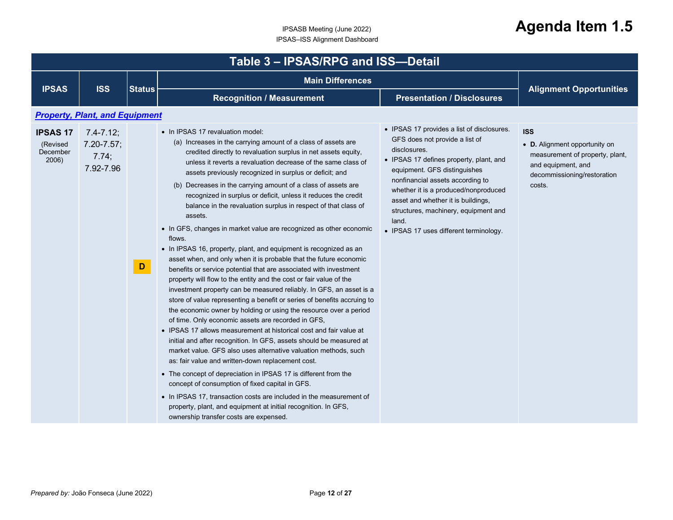<span id="page-11-0"></span>

|                                                  | Table 3 - IPSAS/RPG and ISS-Detail                      |               |                                                                                                                                                                                                                                                                                                                                                                                                                                                                                                                                                                                                                                                                                                                                                                                                                                                                                                                                                                                                                                                                                                                                                                                                                                                                                                                                                                                                                                                                                                                                                                                                                                                                                                                                                 |                                                                                                                                                                                                                                                                                                                                                                                      |                                                                                                                                               |  |  |  |
|--------------------------------------------------|---------------------------------------------------------|---------------|-------------------------------------------------------------------------------------------------------------------------------------------------------------------------------------------------------------------------------------------------------------------------------------------------------------------------------------------------------------------------------------------------------------------------------------------------------------------------------------------------------------------------------------------------------------------------------------------------------------------------------------------------------------------------------------------------------------------------------------------------------------------------------------------------------------------------------------------------------------------------------------------------------------------------------------------------------------------------------------------------------------------------------------------------------------------------------------------------------------------------------------------------------------------------------------------------------------------------------------------------------------------------------------------------------------------------------------------------------------------------------------------------------------------------------------------------------------------------------------------------------------------------------------------------------------------------------------------------------------------------------------------------------------------------------------------------------------------------------------------------|--------------------------------------------------------------------------------------------------------------------------------------------------------------------------------------------------------------------------------------------------------------------------------------------------------------------------------------------------------------------------------------|-----------------------------------------------------------------------------------------------------------------------------------------------|--|--|--|
| <b>IPSAS</b>                                     | <b>ISS</b>                                              | <b>Status</b> | <b>Main Differences</b>                                                                                                                                                                                                                                                                                                                                                                                                                                                                                                                                                                                                                                                                                                                                                                                                                                                                                                                                                                                                                                                                                                                                                                                                                                                                                                                                                                                                                                                                                                                                                                                                                                                                                                                         |                                                                                                                                                                                                                                                                                                                                                                                      |                                                                                                                                               |  |  |  |
|                                                  |                                                         |               | <b>Recognition / Measurement</b>                                                                                                                                                                                                                                                                                                                                                                                                                                                                                                                                                                                                                                                                                                                                                                                                                                                                                                                                                                                                                                                                                                                                                                                                                                                                                                                                                                                                                                                                                                                                                                                                                                                                                                                | <b>Presentation / Disclosures</b>                                                                                                                                                                                                                                                                                                                                                    | <b>Alignment Opportunities</b>                                                                                                                |  |  |  |
|                                                  | <b>Property, Plant, and Equipment</b>                   |               |                                                                                                                                                                                                                                                                                                                                                                                                                                                                                                                                                                                                                                                                                                                                                                                                                                                                                                                                                                                                                                                                                                                                                                                                                                                                                                                                                                                                                                                                                                                                                                                                                                                                                                                                                 |                                                                                                                                                                                                                                                                                                                                                                                      |                                                                                                                                               |  |  |  |
| <b>IPSAS 17</b><br>(Revised<br>December<br>2006) | $7.4 - 7.12$ ;<br>$7.20 - 7.57$ ;<br>7.74;<br>7.92-7.96 | D             | • In IPSAS 17 revaluation model:<br>(a) Increases in the carrying amount of a class of assets are<br>credited directly to revaluation surplus in net assets equity,<br>unless it reverts a revaluation decrease of the same class of<br>assets previously recognized in surplus or deficit; and<br>(b) Decreases in the carrying amount of a class of assets are<br>recognized in surplus or deficit, unless it reduces the credit<br>balance in the revaluation surplus in respect of that class of<br>assets.<br>• In GFS, changes in market value are recognized as other economic<br>flows.<br>• In IPSAS 16, property, plant, and equipment is recognized as an<br>asset when, and only when it is probable that the future economic<br>benefits or service potential that are associated with investment<br>property will flow to the entity and the cost or fair value of the<br>investment property can be measured reliably. In GFS, an asset is a<br>store of value representing a benefit or series of benefits accruing to<br>the economic owner by holding or using the resource over a period<br>of time. Only economic assets are recorded in GFS,<br>• IPSAS 17 allows measurement at historical cost and fair value at<br>initial and after recognition. In GFS, assets should be measured at<br>market value. GFS also uses alternative valuation methods, such<br>as: fair value and written-down replacement cost.<br>• The concept of depreciation in IPSAS 17 is different from the<br>concept of consumption of fixed capital in GFS.<br>• In IPSAS 17, transaction costs are included in the measurement of<br>property, plant, and equipment at initial recognition. In GFS,<br>ownership transfer costs are expensed. | • IPSAS 17 provides a list of disclosures.<br>GFS does not provide a list of<br>disclosures.<br>• IPSAS 17 defines property, plant, and<br>equipment. GFS distinguishes<br>nonfinancial assets according to<br>whether it is a produced/nonproduced<br>asset and whether it is buildings,<br>structures, machinery, equipment and<br>land.<br>• IPSAS 17 uses different terminology. | <b>ISS</b><br>• D. Alignment opportunity on<br>measurement of property, plant,<br>and equipment, and<br>decommissioning/restoration<br>costs. |  |  |  |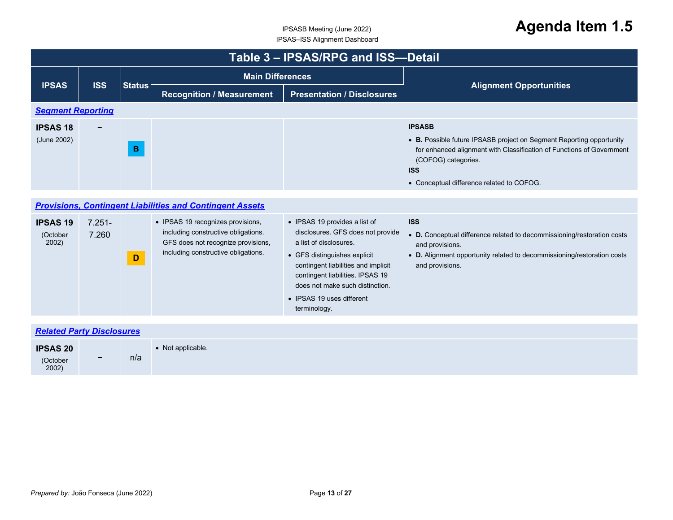<span id="page-12-2"></span><span id="page-12-1"></span><span id="page-12-0"></span>

|                                      | Table 3 - IPSAS/RPG and ISS-Detail |               |                                                                                                                                                       |                                                                                                                                                                                                                                                                                         |                                                                                                                                                                                                                                                  |  |  |  |
|--------------------------------------|------------------------------------|---------------|-------------------------------------------------------------------------------------------------------------------------------------------------------|-----------------------------------------------------------------------------------------------------------------------------------------------------------------------------------------------------------------------------------------------------------------------------------------|--------------------------------------------------------------------------------------------------------------------------------------------------------------------------------------------------------------------------------------------------|--|--|--|
|                                      |                                    |               | <b>Main Differences</b>                                                                                                                               |                                                                                                                                                                                                                                                                                         |                                                                                                                                                                                                                                                  |  |  |  |
| <b>IPSAS</b>                         | <b>ISS</b>                         | <b>Status</b> | <b>Recognition / Measurement</b>                                                                                                                      | <b>Presentation / Disclosures</b>                                                                                                                                                                                                                                                       | <b>Alignment Opportunities</b>                                                                                                                                                                                                                   |  |  |  |
| <b>Segment Reporting</b>             |                                    |               |                                                                                                                                                       |                                                                                                                                                                                                                                                                                         |                                                                                                                                                                                                                                                  |  |  |  |
| <b>IPSAS 18</b><br>(June 2002)       |                                    | $\mathbf{B}$  |                                                                                                                                                       |                                                                                                                                                                                                                                                                                         | <b>IPSASB</b><br>• B. Possible future IPSASB project on Segment Reporting opportunity<br>for enhanced alignment with Classification of Functions of Government<br>(COFOG) categories.<br><b>ISS</b><br>• Conceptual difference related to COFOG. |  |  |  |
|                                      |                                    |               |                                                                                                                                                       |                                                                                                                                                                                                                                                                                         |                                                                                                                                                                                                                                                  |  |  |  |
|                                      |                                    |               | <b>Provisions, Contingent Liabilities and Contingent Assets</b>                                                                                       |                                                                                                                                                                                                                                                                                         |                                                                                                                                                                                                                                                  |  |  |  |
| <b>IPSAS 19</b><br>(October<br>2002) | $7.251 -$<br>7.260                 | $\mathbf D$   | • IPSAS 19 recognizes provisions,<br>including constructive obligations.<br>GFS does not recognize provisions,<br>including constructive obligations. | • IPSAS 19 provides a list of<br>disclosures. GFS does not provide<br>a list of disclosures.<br>• GFS distinguishes explicit<br>contingent liabilities and implicit<br>contingent liabilities. IPSAS 19<br>does not make such distinction.<br>• IPSAS 19 uses different<br>terminology. | <b>ISS</b><br>• D. Conceptual difference related to decommissioning/restoration costs<br>and provisions.<br>• D. Alignment opportunity related to decommissioning/restoration costs<br>and provisions.                                           |  |  |  |
|                                      | <b>Related Party Disclosures</b>   |               |                                                                                                                                                       |                                                                                                                                                                                                                                                                                         |                                                                                                                                                                                                                                                  |  |  |  |
|                                      |                                    |               |                                                                                                                                                       |                                                                                                                                                                                                                                                                                         |                                                                                                                                                                                                                                                  |  |  |  |
| <b>IDSAS 20</b>                      |                                    |               | $\bullet$ Not applicable                                                                                                                              |                                                                                                                                                                                                                                                                                         |                                                                                                                                                                                                                                                  |  |  |  |

| <b>IPSAS 20</b>   |                          |     | Not applicable. |
|-------------------|--------------------------|-----|-----------------|
| (October<br>2002) | $\overline{\phantom{0}}$ | n/a |                 |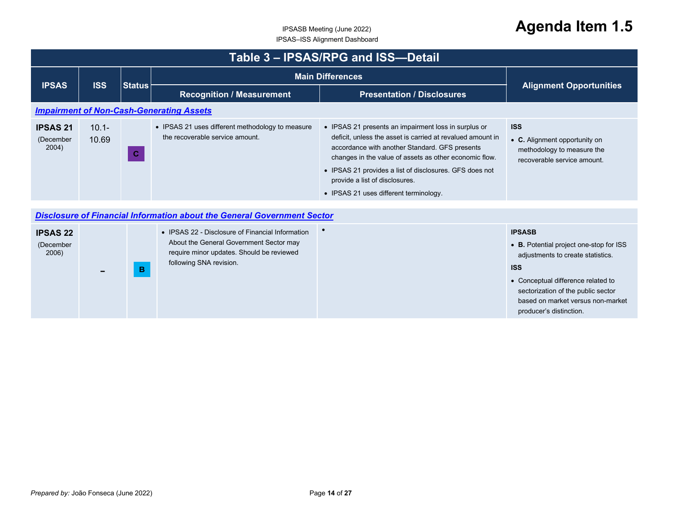<span id="page-13-1"></span><span id="page-13-0"></span>

|                                       | Table 3 - IPSAS/RPG and ISS-Detail |               |                                                                                                                                                                     |                                                                                                                                                                                                                                                                                                                                                                       |                                                                                                                                                                                                                                                         |  |  |
|---------------------------------------|------------------------------------|---------------|---------------------------------------------------------------------------------------------------------------------------------------------------------------------|-----------------------------------------------------------------------------------------------------------------------------------------------------------------------------------------------------------------------------------------------------------------------------------------------------------------------------------------------------------------------|---------------------------------------------------------------------------------------------------------------------------------------------------------------------------------------------------------------------------------------------------------|--|--|
| <b>IPSAS</b>                          | <b>ISS</b>                         | <b>Status</b> |                                                                                                                                                                     | <b>Main Differences</b>                                                                                                                                                                                                                                                                                                                                               |                                                                                                                                                                                                                                                         |  |  |
|                                       |                                    |               | <b>Recognition / Measurement</b>                                                                                                                                    | <b>Presentation / Disclosures</b>                                                                                                                                                                                                                                                                                                                                     | <b>Alignment Opportunities</b>                                                                                                                                                                                                                          |  |  |
|                                       |                                    |               | <b>Impairment of Non-Cash-Generating Assets</b>                                                                                                                     |                                                                                                                                                                                                                                                                                                                                                                       |                                                                                                                                                                                                                                                         |  |  |
| <b>IPSAS 21</b><br>(December<br>2004) | $10.1 -$<br>10.69                  | $\mathbf C$   | • IPSAS 21 uses different methodology to measure<br>the recoverable service amount.                                                                                 | • IPSAS 21 presents an impairment loss in surplus or<br>deficit, unless the asset is carried at revalued amount in<br>accordance with another Standard. GFS presents<br>changes in the value of assets as other economic flow.<br>• IPSAS 21 provides a list of disclosures. GFS does not<br>provide a list of disclosures.<br>• IPSAS 21 uses different terminology. | <b>ISS</b><br>• C. Alignment opportunity on<br>methodology to measure the<br>recoverable service amount.                                                                                                                                                |  |  |
|                                       |                                    |               | <b>Disclosure of Financial Information about the General Government Sector</b>                                                                                      |                                                                                                                                                                                                                                                                                                                                                                       |                                                                                                                                                                                                                                                         |  |  |
| <b>IPSAS 22</b><br>(December<br>2006) |                                    | B.            | • IPSAS 22 - Disclosure of Financial Information<br>About the General Government Sector may<br>require minor updates. Should be reviewed<br>following SNA revision. | $\bullet$                                                                                                                                                                                                                                                                                                                                                             | <b>IPSASB</b><br>• B. Potential project one-stop for ISS<br>adjustments to create statistics.<br><b>ISS</b><br>• Conceptual difference related to<br>sectorization of the public sector<br>based on market versus non-market<br>producer's distinction. |  |  |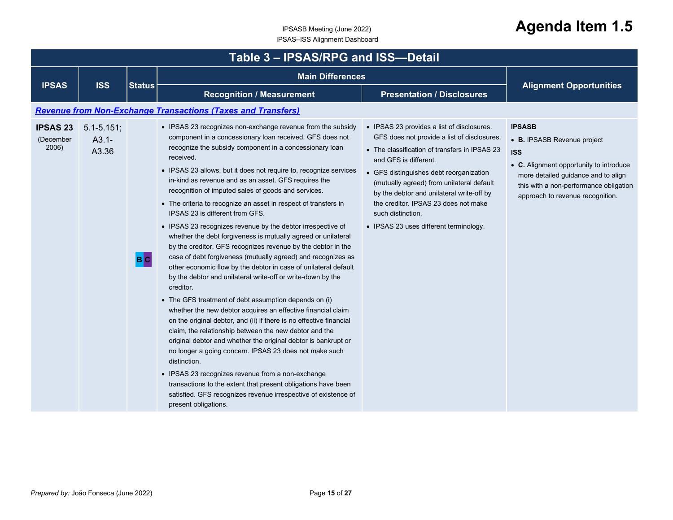<span id="page-14-0"></span>

|                                       | Table 3 - IPSAS/RPG and ISS-Detail   |               |                                                                                                                                                                                                                                                                                                                                                                                                                                                                                                                                                                                                                                                                                                                                                                                                                                                                                                                                                                                                                                                                                                                                                                                                                                                                                                                                                                                                                                                                                                                                |                                                                                                                                                                                                                                                                                                                                                                                                                 |                                                                                                                                                                                                                            |  |  |  |
|---------------------------------------|--------------------------------------|---------------|--------------------------------------------------------------------------------------------------------------------------------------------------------------------------------------------------------------------------------------------------------------------------------------------------------------------------------------------------------------------------------------------------------------------------------------------------------------------------------------------------------------------------------------------------------------------------------------------------------------------------------------------------------------------------------------------------------------------------------------------------------------------------------------------------------------------------------------------------------------------------------------------------------------------------------------------------------------------------------------------------------------------------------------------------------------------------------------------------------------------------------------------------------------------------------------------------------------------------------------------------------------------------------------------------------------------------------------------------------------------------------------------------------------------------------------------------------------------------------------------------------------------------------|-----------------------------------------------------------------------------------------------------------------------------------------------------------------------------------------------------------------------------------------------------------------------------------------------------------------------------------------------------------------------------------------------------------------|----------------------------------------------------------------------------------------------------------------------------------------------------------------------------------------------------------------------------|--|--|--|
| <b>IPSAS</b>                          | <b>ISS</b>                           | <b>Status</b> | <b>Main Differences</b>                                                                                                                                                                                                                                                                                                                                                                                                                                                                                                                                                                                                                                                                                                                                                                                                                                                                                                                                                                                                                                                                                                                                                                                                                                                                                                                                                                                                                                                                                                        |                                                                                                                                                                                                                                                                                                                                                                                                                 |                                                                                                                                                                                                                            |  |  |  |
|                                       |                                      |               | <b>Recognition / Measurement</b>                                                                                                                                                                                                                                                                                                                                                                                                                                                                                                                                                                                                                                                                                                                                                                                                                                                                                                                                                                                                                                                                                                                                                                                                                                                                                                                                                                                                                                                                                               | <b>Presentation / Disclosures</b>                                                                                                                                                                                                                                                                                                                                                                               | <b>Alignment Opportunities</b>                                                                                                                                                                                             |  |  |  |
|                                       |                                      |               | <b>Revenue from Non-Exchange Transactions (Taxes and Transfers)</b>                                                                                                                                                                                                                                                                                                                                                                                                                                                                                                                                                                                                                                                                                                                                                                                                                                                                                                                                                                                                                                                                                                                                                                                                                                                                                                                                                                                                                                                            |                                                                                                                                                                                                                                                                                                                                                                                                                 |                                                                                                                                                                                                                            |  |  |  |
| <b>IPSAS 23</b><br>(December<br>2006) | $5.1 - 5.151$ ;<br>$A3.1 -$<br>A3.36 | B C           | • IPSAS 23 recognizes non-exchange revenue from the subsidy<br>component in a concessionary loan received. GFS does not<br>recognize the subsidy component in a concessionary loan<br>received.<br>• IPSAS 23 allows, but it does not require to, recognize services<br>in-kind as revenue and as an asset. GFS requires the<br>recognition of imputed sales of goods and services.<br>• The criteria to recognize an asset in respect of transfers in<br>IPSAS 23 is different from GFS.<br>• IPSAS 23 recognizes revenue by the debtor irrespective of<br>whether the debt forgiveness is mutually agreed or unilateral<br>by the creditor. GFS recognizes revenue by the debtor in the<br>case of debt forgiveness (mutually agreed) and recognizes as<br>other economic flow by the debtor in case of unilateral default<br>by the debtor and unilateral write-off or write-down by the<br>creditor.<br>• The GFS treatment of debt assumption depends on (i)<br>whether the new debtor acquires an effective financial claim<br>on the original debtor, and (ii) if there is no effective financial<br>claim, the relationship between the new debtor and the<br>original debtor and whether the original debtor is bankrupt or<br>no longer a going concern. IPSAS 23 does not make such<br>distinction.<br>• IPSAS 23 recognizes revenue from a non-exchange<br>transactions to the extent that present obligations have been<br>satisfied. GFS recognizes revenue irrespective of existence of<br>present obligations. | • IPSAS 23 provides a list of disclosures.<br>GFS does not provide a list of disclosures.<br>• The classification of transfers in IPSAS 23<br>and GFS is different.<br>• GFS distinguishes debt reorganization<br>(mutually agreed) from unilateral default<br>by the debtor and unilateral write-off by<br>the creditor. IPSAS 23 does not make<br>such distinction.<br>• IPSAS 23 uses different terminology. | <b>IPSASB</b><br>• B. IPSASB Revenue project<br><b>ISS</b><br>• C. Alignment opportunity to introduce<br>more detailed guidance and to align<br>this with a non-performance obligation<br>approach to revenue recognition. |  |  |  |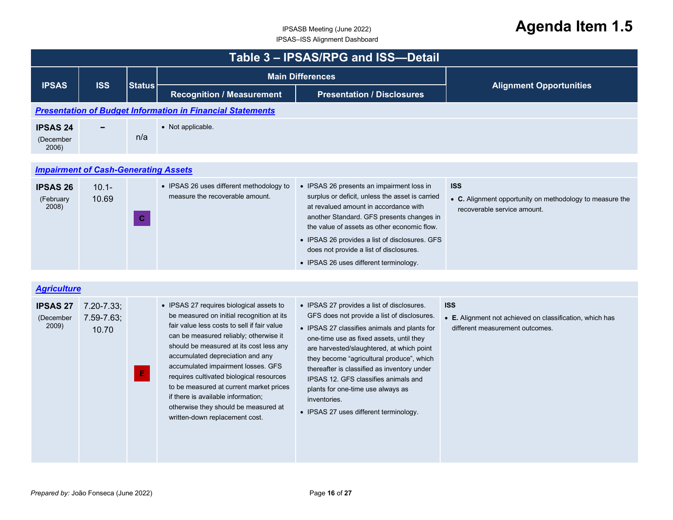<span id="page-15-2"></span><span id="page-15-1"></span><span id="page-15-0"></span>

|                                       | Table 3 - IPSAS/RPG and ISS-Detail          |               |                                                                                                                                                                                                                                                                                                                                                                                                                                                                                                            |                                                                                                                                                                                                                                                                                                                                                                                                                                                                       |                                                                                                           |  |  |
|---------------------------------------|---------------------------------------------|---------------|------------------------------------------------------------------------------------------------------------------------------------------------------------------------------------------------------------------------------------------------------------------------------------------------------------------------------------------------------------------------------------------------------------------------------------------------------------------------------------------------------------|-----------------------------------------------------------------------------------------------------------------------------------------------------------------------------------------------------------------------------------------------------------------------------------------------------------------------------------------------------------------------------------------------------------------------------------------------------------------------|-----------------------------------------------------------------------------------------------------------|--|--|
| <b>IPSAS</b><br><b>ISS</b>            |                                             | <b>Status</b> | <b>Main Differences</b>                                                                                                                                                                                                                                                                                                                                                                                                                                                                                    |                                                                                                                                                                                                                                                                                                                                                                                                                                                                       | <b>Alignment Opportunities</b>                                                                            |  |  |
|                                       |                                             |               | <b>Recognition / Measurement</b>                                                                                                                                                                                                                                                                                                                                                                                                                                                                           | <b>Presentation / Disclosures</b>                                                                                                                                                                                                                                                                                                                                                                                                                                     |                                                                                                           |  |  |
|                                       |                                             |               | <b>Presentation of Budget Information in Financial Statements</b>                                                                                                                                                                                                                                                                                                                                                                                                                                          |                                                                                                                                                                                                                                                                                                                                                                                                                                                                       |                                                                                                           |  |  |
| <b>IPSAS 24</b><br>(December<br>2006) |                                             | n/a           | • Not applicable.                                                                                                                                                                                                                                                                                                                                                                                                                                                                                          |                                                                                                                                                                                                                                                                                                                                                                                                                                                                       |                                                                                                           |  |  |
|                                       | <b>Impairment of Cash-Generating Assets</b> |               |                                                                                                                                                                                                                                                                                                                                                                                                                                                                                                            |                                                                                                                                                                                                                                                                                                                                                                                                                                                                       |                                                                                                           |  |  |
| <b>IPSAS 26</b><br>(February<br>2008) | $10.1 -$<br>10.69                           | $\mathbf{C}$  | • IPSAS 26 uses different methodology to<br>measure the recoverable amount.                                                                                                                                                                                                                                                                                                                                                                                                                                | • IPSAS 26 presents an impairment loss in<br>surplus or deficit, unless the asset is carried<br>at revalued amount in accordance with<br>another Standard. GFS presents changes in<br>the value of assets as other economic flow.<br>• IPSAS 26 provides a list of disclosures. GFS<br>does not provide a list of disclosures.<br>• IPSAS 26 uses different terminology.                                                                                              | <b>ISS</b><br>• C. Alignment opportunity on methodology to measure the<br>recoverable service amount.     |  |  |
| <b>Agriculture</b>                    |                                             |               |                                                                                                                                                                                                                                                                                                                                                                                                                                                                                                            |                                                                                                                                                                                                                                                                                                                                                                                                                                                                       |                                                                                                           |  |  |
| <b>IPSAS 27</b><br>(December<br>2009) | $7.20 - 7.33$ ;<br>$7.59 - 7.63$ ;<br>10.70 | E.            | • IPSAS 27 requires biological assets to<br>be measured on initial recognition at its<br>fair value less costs to sell if fair value<br>can be measured reliably; otherwise it<br>should be measured at its cost less any<br>accumulated depreciation and any<br>accumulated impairment losses. GFS<br>requires cultivated biological resources<br>to be measured at current market prices<br>if there is available information;<br>otherwise they should be measured at<br>written-down replacement cost. | • IPSAS 27 provides a list of disclosures.<br>GFS does not provide a list of disclosures.<br>• IPSAS 27 classifies animals and plants for<br>one-time use as fixed assets, until they<br>are harvested/slaughtered, at which point<br>they become "agricultural produce", which<br>thereafter is classified as inventory under<br>IPSAS 12. GFS classifies animals and<br>plants for one-time use always as<br>inventories.<br>• IPSAS 27 uses different terminology. | <b>ISS</b><br>• E. Alignment not achieved on classification, which has<br>different measurement outcomes. |  |  |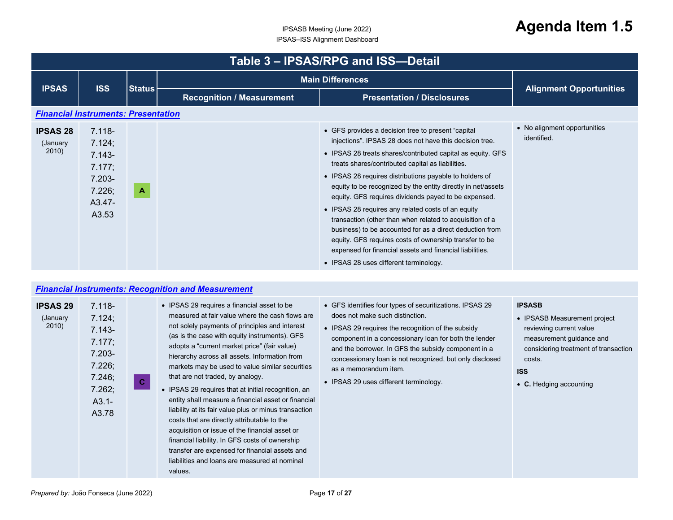<span id="page-16-1"></span><span id="page-16-0"></span>

| Table 3 - IPSAS/RPG and ISS-Detail   |                                                                                      |               |                                  |                                                                                                                                                                                                                                                                                                                                                                                                                                                                                                                                                                                                                                                                                                                                                                    |                                             |  |
|--------------------------------------|--------------------------------------------------------------------------------------|---------------|----------------------------------|--------------------------------------------------------------------------------------------------------------------------------------------------------------------------------------------------------------------------------------------------------------------------------------------------------------------------------------------------------------------------------------------------------------------------------------------------------------------------------------------------------------------------------------------------------------------------------------------------------------------------------------------------------------------------------------------------------------------------------------------------------------------|---------------------------------------------|--|
|                                      |                                                                                      |               |                                  | <b>Main Differences</b>                                                                                                                                                                                                                                                                                                                                                                                                                                                                                                                                                                                                                                                                                                                                            |                                             |  |
| <b>IPSAS</b>                         | <b>ISS</b>                                                                           | <b>Status</b> | <b>Recognition / Measurement</b> | <b>Presentation / Disclosures</b>                                                                                                                                                                                                                                                                                                                                                                                                                                                                                                                                                                                                                                                                                                                                  | <b>Alignment Opportunities</b>              |  |
|                                      | <b>Financial Instruments: Presentation</b>                                           |               |                                  |                                                                                                                                                                                                                                                                                                                                                                                                                                                                                                                                                                                                                                                                                                                                                                    |                                             |  |
| <b>IPSAS 28</b><br>(January<br>2010) | $7.118 -$<br>7.124;<br>$7.143 -$<br>7.177;<br>$7.203 -$<br>7.226;<br>A3.47-<br>A3.53 | A             |                                  | • GFS provides a decision tree to present "capital<br>injections". IPSAS 28 does not have this decision tree.<br>• IPSAS 28 treats shares/contributed capital as equity. GFS<br>treats shares/contributed capital as liabilities.<br>• IPSAS 28 requires distributions payable to holders of<br>equity to be recognized by the entity directly in net/assets<br>equity. GFS requires dividends payed to be expensed.<br>• IPSAS 28 requires any related costs of an equity<br>transaction (other than when related to acquisition of a<br>business) to be accounted for as a direct deduction from<br>equity. GFS requires costs of ownership transfer to be<br>expensed for financial assets and financial liabilities.<br>• IPSAS 28 uses different terminology. | • No alignment opportunities<br>identified. |  |

#### *[Financial Instruments: Recognition and Measurement](#page-1-22)*

| <b>IPSAS 29</b><br>(January<br>2010) | $7.118 -$<br>7.124;<br>$7.143 -$<br>7.177;<br>$7.203 -$<br>7.226;<br>7.246;<br>7.262;<br>$A3.1 -$<br>A3.78 | $\mathbf{C}$ | • IPSAS 29 requires a financial asset to be<br>measured at fair value where the cash flows are<br>not solely payments of principles and interest<br>(as is the case with equity instruments). GFS<br>adopts a "current market price" (fair value)<br>hierarchy across all assets. Information from<br>markets may be used to value similar securities<br>that are not traded, by analogy.<br>• IPSAS 29 requires that at initial recognition, an<br>entity shall measure a financial asset or financial<br>liability at its fair value plus or minus transaction<br>costs that are directly attributable to the<br>acquisition or issue of the financial asset or<br>financial liability. In GFS costs of ownership<br>transfer are expensed for financial assets and<br>liabilities and loans are measured at nominal<br>values. | • GFS identifies four types of securitizations. IPSAS 29<br>does not make such distinction.<br>• IPSAS 29 requires the recognition of the subsidy<br>component in a concessionary loan for both the lender<br>and the borrower. In GFS the subsidy component in a<br>concessionary loan is not recognized, but only disclosed<br>as a memorandum item.<br>• IPSAS 29 uses different terminology. | <b>IPSASB</b><br>• IPSASB Measurement project<br>reviewing current value<br>measurement guidance and<br>considering treatment of transaction<br>costs.<br><b>ISS</b><br>• C. Hedging accounting |
|--------------------------------------|------------------------------------------------------------------------------------------------------------|--------------|-----------------------------------------------------------------------------------------------------------------------------------------------------------------------------------------------------------------------------------------------------------------------------------------------------------------------------------------------------------------------------------------------------------------------------------------------------------------------------------------------------------------------------------------------------------------------------------------------------------------------------------------------------------------------------------------------------------------------------------------------------------------------------------------------------------------------------------|--------------------------------------------------------------------------------------------------------------------------------------------------------------------------------------------------------------------------------------------------------------------------------------------------------------------------------------------------------------------------------------------------|-------------------------------------------------------------------------------------------------------------------------------------------------------------------------------------------------|
|--------------------------------------|------------------------------------------------------------------------------------------------------------|--------------|-----------------------------------------------------------------------------------------------------------------------------------------------------------------------------------------------------------------------------------------------------------------------------------------------------------------------------------------------------------------------------------------------------------------------------------------------------------------------------------------------------------------------------------------------------------------------------------------------------------------------------------------------------------------------------------------------------------------------------------------------------------------------------------------------------------------------------------|--------------------------------------------------------------------------------------------------------------------------------------------------------------------------------------------------------------------------------------------------------------------------------------------------------------------------------------------------------------------------------------------------|-------------------------------------------------------------------------------------------------------------------------------------------------------------------------------------------------|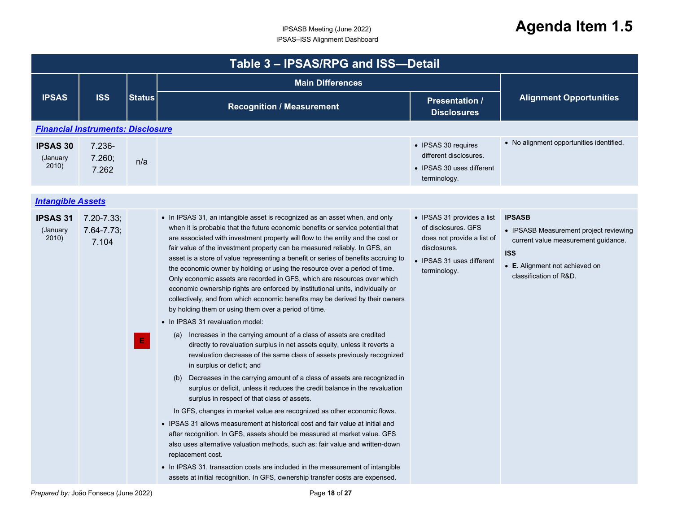<span id="page-17-1"></span><span id="page-17-0"></span>

|                                      | Table 3 - IPSAS/RPG and ISS-Detail         |               |                                                                                                                                                                                                                                                                                                                                                                                                                                                                                                                                                                                                                                                                                                                                                                                                                                                                                                                                                                                                                                                                                                                                                                                                                                                                                                                                                                                                                                                                                                                                                                                                                                                                                                                                                                                                                                               |                                                                                                                                              |                                                                                                                                                                          |  |  |  |
|--------------------------------------|--------------------------------------------|---------------|-----------------------------------------------------------------------------------------------------------------------------------------------------------------------------------------------------------------------------------------------------------------------------------------------------------------------------------------------------------------------------------------------------------------------------------------------------------------------------------------------------------------------------------------------------------------------------------------------------------------------------------------------------------------------------------------------------------------------------------------------------------------------------------------------------------------------------------------------------------------------------------------------------------------------------------------------------------------------------------------------------------------------------------------------------------------------------------------------------------------------------------------------------------------------------------------------------------------------------------------------------------------------------------------------------------------------------------------------------------------------------------------------------------------------------------------------------------------------------------------------------------------------------------------------------------------------------------------------------------------------------------------------------------------------------------------------------------------------------------------------------------------------------------------------------------------------------------------------|----------------------------------------------------------------------------------------------------------------------------------------------|--------------------------------------------------------------------------------------------------------------------------------------------------------------------------|--|--|--|
|                                      |                                            |               | <b>Main Differences</b>                                                                                                                                                                                                                                                                                                                                                                                                                                                                                                                                                                                                                                                                                                                                                                                                                                                                                                                                                                                                                                                                                                                                                                                                                                                                                                                                                                                                                                                                                                                                                                                                                                                                                                                                                                                                                       |                                                                                                                                              |                                                                                                                                                                          |  |  |  |
| <b>IPSAS</b>                         | <b>ISS</b>                                 | <b>Status</b> | <b>Recognition / Measurement</b>                                                                                                                                                                                                                                                                                                                                                                                                                                                                                                                                                                                                                                                                                                                                                                                                                                                                                                                                                                                                                                                                                                                                                                                                                                                                                                                                                                                                                                                                                                                                                                                                                                                                                                                                                                                                              | <b>Presentation /</b><br><b>Disclosures</b>                                                                                                  | <b>Alignment Opportunities</b>                                                                                                                                           |  |  |  |
|                                      | <b>Financial Instruments: Disclosure</b>   |               |                                                                                                                                                                                                                                                                                                                                                                                                                                                                                                                                                                                                                                                                                                                                                                                                                                                                                                                                                                                                                                                                                                                                                                                                                                                                                                                                                                                                                                                                                                                                                                                                                                                                                                                                                                                                                                               |                                                                                                                                              |                                                                                                                                                                          |  |  |  |
| <b>IPSAS 30</b><br>(January<br>2010) | 7.236-<br>7.260;<br>7.262                  | n/a           |                                                                                                                                                                                                                                                                                                                                                                                                                                                                                                                                                                                                                                                                                                                                                                                                                                                                                                                                                                                                                                                                                                                                                                                                                                                                                                                                                                                                                                                                                                                                                                                                                                                                                                                                                                                                                                               | • IPSAS 30 requires<br>different disclosures.<br>• IPSAS 30 uses different<br>terminology.                                                   | • No alignment opportunities identified.                                                                                                                                 |  |  |  |
| <b>Intangible Assets</b>             |                                            |               |                                                                                                                                                                                                                                                                                                                                                                                                                                                                                                                                                                                                                                                                                                                                                                                                                                                                                                                                                                                                                                                                                                                                                                                                                                                                                                                                                                                                                                                                                                                                                                                                                                                                                                                                                                                                                                               |                                                                                                                                              |                                                                                                                                                                          |  |  |  |
| <b>IPSAS 31</b><br>(January<br>2010) | $7.20 - 7.33$ ;<br>$7.64 - 7.73;$<br>7.104 | $\mathbf{E}$  | • In IPSAS 31, an intangible asset is recognized as an asset when, and only<br>when it is probable that the future economic benefits or service potential that<br>are associated with investment property will flow to the entity and the cost or<br>fair value of the investment property can be measured reliably. In GFS, an<br>asset is a store of value representing a benefit or series of benefits accruing to<br>the economic owner by holding or using the resource over a period of time.<br>Only economic assets are recorded in GFS, which are resources over which<br>economic ownership rights are enforced by institutional units, individually or<br>collectively, and from which economic benefits may be derived by their owners<br>by holding them or using them over a period of time.<br>• In IPSAS 31 revaluation model:<br>(a) Increases in the carrying amount of a class of assets are credited<br>directly to revaluation surplus in net assets equity, unless it reverts a<br>revaluation decrease of the same class of assets previously recognized<br>in surplus or deficit; and<br>(b) Decreases in the carrying amount of a class of assets are recognized in<br>surplus or deficit, unless it reduces the credit balance in the revaluation<br>surplus in respect of that class of assets.<br>In GFS, changes in market value are recognized as other economic flows.<br>• IPSAS 31 allows measurement at historical cost and fair value at initial and<br>after recognition. In GFS, assets should be measured at market value. GFS<br>also uses alternative valuation methods, such as: fair value and written-down<br>replacement cost.<br>• In IPSAS 31, transaction costs are included in the measurement of intangible<br>assets at initial recognition. In GFS, ownership transfer costs are expensed. | • IPSAS 31 provides a list<br>of disclosures. GFS<br>does not provide a list of<br>disclosures.<br>• IPSAS 31 uses different<br>terminology. | <b>IPSASB</b><br>• IPSASB Measurement project reviewing<br>current value measurement guidance.<br><b>ISS</b><br>• E. Alignment not achieved on<br>classification of R&D. |  |  |  |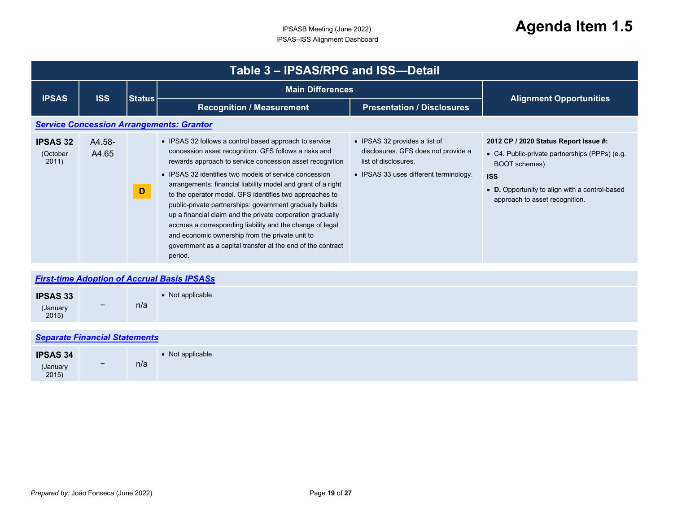<span id="page-18-2"></span><span id="page-18-1"></span><span id="page-18-0"></span>

| Table 3 - IPSAS/RPG and ISS-Detail              |                                      |               |                                                                                                                                                                                                                                                                                                                                                                                                                                                                                                                                                                                                                                                                                      |                                                                                                                                        |                                                                                                                                                                                                            |  |  |
|-------------------------------------------------|--------------------------------------|---------------|--------------------------------------------------------------------------------------------------------------------------------------------------------------------------------------------------------------------------------------------------------------------------------------------------------------------------------------------------------------------------------------------------------------------------------------------------------------------------------------------------------------------------------------------------------------------------------------------------------------------------------------------------------------------------------------|----------------------------------------------------------------------------------------------------------------------------------------|------------------------------------------------------------------------------------------------------------------------------------------------------------------------------------------------------------|--|--|
| <b>IPSAS</b>                                    | <b>ISS</b>                           |               | <b>Main Differences</b>                                                                                                                                                                                                                                                                                                                                                                                                                                                                                                                                                                                                                                                              |                                                                                                                                        |                                                                                                                                                                                                            |  |  |
|                                                 |                                      | <b>Status</b> | <b>Recognition / Measurement</b>                                                                                                                                                                                                                                                                                                                                                                                                                                                                                                                                                                                                                                                     | <b>Presentation / Disclosures</b>                                                                                                      | <b>Alignment Opportunities</b>                                                                                                                                                                             |  |  |
| <b>Service Concession Arrangements: Grantor</b> |                                      |               |                                                                                                                                                                                                                                                                                                                                                                                                                                                                                                                                                                                                                                                                                      |                                                                                                                                        |                                                                                                                                                                                                            |  |  |
| <b>IPSAS 32</b><br>(October<br>2011)            | A4.58-<br>A4.65                      | D             | • IPSAS 32 follows a control based approach to service<br>concession asset recognition. GFS follows a risks and<br>rewards approach to service concession asset recognition<br>• IPSAS 32 identifies two models of service concession<br>arrangements: financial liability model and grant of a right<br>to the operator model. GFS identifies two approaches to<br>public-private partnerships: government gradually builds<br>up a financial claim and the private corporation gradually<br>accrues a corresponding liability and the change of legal<br>and economic ownership from the private unit to<br>government as a capital transfer at the end of the contract<br>period. | • IPSAS 32 provides a list of<br>disclosures. GFS does not provide a<br>list of disclosures.<br>• IPSAS 33 uses different terminology. | 2012 CP / 2020 Status Report Issue #:<br>• C4. Public-private partnerships (PPPs) (e.g.<br>BOOT schemes)<br><b>ISS</b><br>• D. Opportunity to align with a control-based<br>approach to asset recognition. |  |  |
|                                                 |                                      |               | <b>First-time Adoption of Accrual Basis IPSASs</b>                                                                                                                                                                                                                                                                                                                                                                                                                                                                                                                                                                                                                                   |                                                                                                                                        |                                                                                                                                                                                                            |  |  |
| <b>IPSAS 33</b><br>(January<br>2015)            |                                      | n/a           | • Not applicable.                                                                                                                                                                                                                                                                                                                                                                                                                                                                                                                                                                                                                                                                    |                                                                                                                                        |                                                                                                                                                                                                            |  |  |
|                                                 | <b>Separate Financial Statements</b> |               |                                                                                                                                                                                                                                                                                                                                                                                                                                                                                                                                                                                                                                                                                      |                                                                                                                                        |                                                                                                                                                                                                            |  |  |
| <b>IPSAS 34</b><br>(January<br>2015)            |                                      | n/a           | • Not applicable.                                                                                                                                                                                                                                                                                                                                                                                                                                                                                                                                                                                                                                                                    |                                                                                                                                        |                                                                                                                                                                                                            |  |  |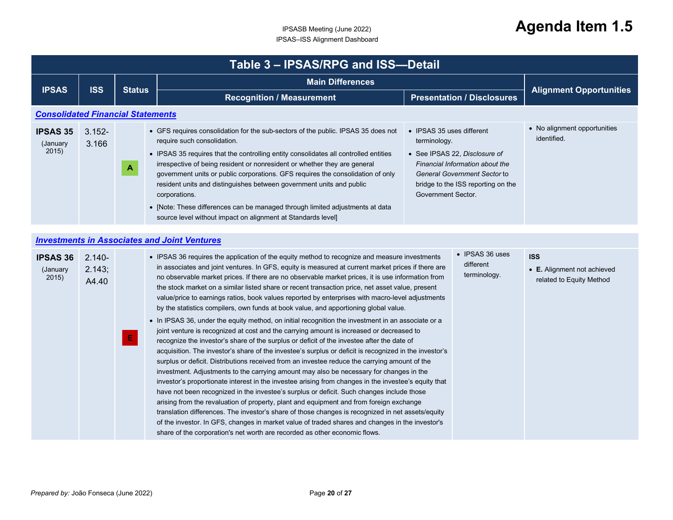## <span id="page-19-1"></span><span id="page-19-0"></span>IPSASB Meeting (June 2022) **Agenda Item 1.5**

|                                          | Table 3 - IPSAS/RPG and ISS-Detail |               |                                                                                                                                                                                                                                                                                                                                                                                                                                                                                                                                                                                                                    |                                                                                                                                                                                                           |                                             |  |  |
|------------------------------------------|------------------------------------|---------------|--------------------------------------------------------------------------------------------------------------------------------------------------------------------------------------------------------------------------------------------------------------------------------------------------------------------------------------------------------------------------------------------------------------------------------------------------------------------------------------------------------------------------------------------------------------------------------------------------------------------|-----------------------------------------------------------------------------------------------------------------------------------------------------------------------------------------------------------|---------------------------------------------|--|--|
| <b>IPSAS</b>                             | <b>ISS</b>                         | <b>Status</b> | <b>Main Differences</b>                                                                                                                                                                                                                                                                                                                                                                                                                                                                                                                                                                                            |                                                                                                                                                                                                           | <b>Alignment Opportunities</b>              |  |  |
|                                          |                                    |               | <b>Recognition / Measurement</b>                                                                                                                                                                                                                                                                                                                                                                                                                                                                                                                                                                                   | <b>Presentation / Disclosures</b>                                                                                                                                                                         |                                             |  |  |
| <b>Consolidated Financial Statements</b> |                                    |               |                                                                                                                                                                                                                                                                                                                                                                                                                                                                                                                                                                                                                    |                                                                                                                                                                                                           |                                             |  |  |
| <b>IPSAS 35</b><br>(January<br>2015)     | $3.152 -$<br>3.166                 | A             | • GFS requires consolidation for the sub-sectors of the public. IPSAS 35 does not<br>require such consolidation.<br>• IPSAS 35 requires that the controlling entity consolidates all controlled entities<br>irrespective of being resident or nonresident or whether they are general<br>government units or public corporations. GFS requires the consolidation of only<br>resident units and distinguishes between government units and public<br>corporations.<br>• [Note: These differences can be managed through limited adjustments at data<br>source level without impact on alignment at Standards level] | • IPSAS 35 uses different<br>terminology.<br>• See IPSAS 22, Disclosure of<br>Financial Information about the<br>General Government Sector to<br>bridge to the ISS reporting on the<br>Government Sector. | • No alignment opportunities<br>identified. |  |  |
|                                          |                                    |               | to contain on the face of a selection and the fact Montcomer                                                                                                                                                                                                                                                                                                                                                                                                                                                                                                                                                       |                                                                                                                                                                                                           |                                             |  |  |

#### *[Investments in Associates and Joint Ventures](#page-1-28)*

| <b>IPSAS 36</b><br>(January<br>2015) | $2.140 -$<br>2.143;<br>A4.40 |     | • IPSAS 36 requires the application of the equity method to recognize and measure investments<br>in associates and joint ventures. In GFS, equity is measured at current market prices if there are<br>no observable market prices. If there are no observable market prices, it is use information from<br>the stock market on a similar listed share or recent transaction price, net asset value, present<br>value/price to earnings ratios, book values reported by enterprises with macro-level adjustments<br>by the statistics compilers, own funds at book value, and apportioning global value.                                                                                                                                                                                                                                                                                                                                                                                                                                                                                                                                                                                 | • IPSAS 36 uses<br>different<br>terminology. | <b>ISS</b><br>• E. Alignment not achieved<br>related to Equity Method |
|--------------------------------------|------------------------------|-----|------------------------------------------------------------------------------------------------------------------------------------------------------------------------------------------------------------------------------------------------------------------------------------------------------------------------------------------------------------------------------------------------------------------------------------------------------------------------------------------------------------------------------------------------------------------------------------------------------------------------------------------------------------------------------------------------------------------------------------------------------------------------------------------------------------------------------------------------------------------------------------------------------------------------------------------------------------------------------------------------------------------------------------------------------------------------------------------------------------------------------------------------------------------------------------------|----------------------------------------------|-----------------------------------------------------------------------|
|                                      |                              | IE, | • In IPSAS 36, under the equity method, on initial recognition the investment in an associate or a<br>joint venture is recognized at cost and the carrying amount is increased or decreased to<br>recognize the investor's share of the surplus or deficit of the investee after the date of<br>acquisition. The investor's share of the investee's surplus or deficit is recognized in the investor's<br>surplus or deficit. Distributions received from an investee reduce the carrying amount of the<br>investment. Adjustments to the carrying amount may also be necessary for changes in the<br>investor's proportionate interest in the investee arising from changes in the investee's equity that<br>have not been recognized in the investee's surplus or deficit. Such changes include those<br>arising from the revaluation of property, plant and equipment and from foreign exchange<br>translation differences. The investor's share of those changes is recognized in net assets/equity<br>of the investor. In GFS, changes in market value of traded shares and changes in the investor's<br>share of the corporation's net worth are recorded as other economic flows. |                                              |                                                                       |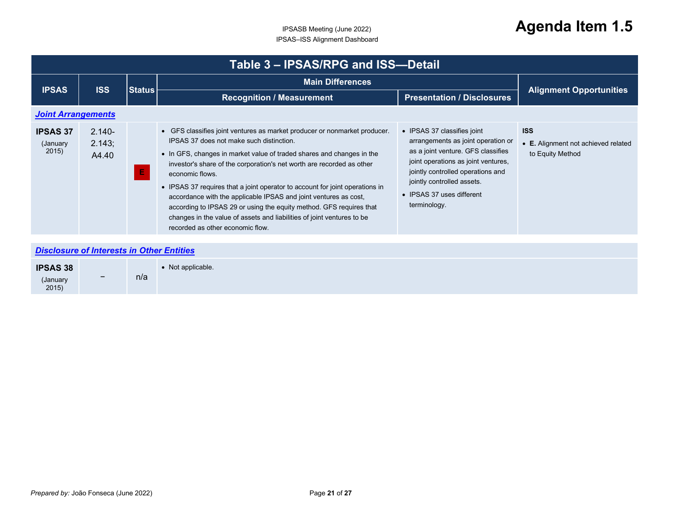<span id="page-20-1"></span><span id="page-20-0"></span>

| Table 3 - IPSAS/RPG and ISS-Detail   |                              |               |                                                                                                                                                                                                                                                                                                                                                                                                                                                                                                                                                                                                                                     |                                                                                                                                                                                                                                                                |                                                                       |  |
|--------------------------------------|------------------------------|---------------|-------------------------------------------------------------------------------------------------------------------------------------------------------------------------------------------------------------------------------------------------------------------------------------------------------------------------------------------------------------------------------------------------------------------------------------------------------------------------------------------------------------------------------------------------------------------------------------------------------------------------------------|----------------------------------------------------------------------------------------------------------------------------------------------------------------------------------------------------------------------------------------------------------------|-----------------------------------------------------------------------|--|
| <b>IPSAS</b>                         | <b>ISS</b>                   | <b>Status</b> | <b>Main Differences</b>                                                                                                                                                                                                                                                                                                                                                                                                                                                                                                                                                                                                             |                                                                                                                                                                                                                                                                |                                                                       |  |
|                                      |                              |               | <b>Recognition / Measurement</b>                                                                                                                                                                                                                                                                                                                                                                                                                                                                                                                                                                                                    | <b>Presentation / Disclosures</b>                                                                                                                                                                                                                              | <b>Alignment Opportunities</b>                                        |  |
| <b>Joint Arrangements</b>            |                              |               |                                                                                                                                                                                                                                                                                                                                                                                                                                                                                                                                                                                                                                     |                                                                                                                                                                                                                                                                |                                                                       |  |
| <b>IPSAS 37</b><br>(January<br>2015) | $2.140 -$<br>2.143;<br>A4.40 | Е             | • GFS classifies joint ventures as market producer or nonmarket producer.<br>IPSAS 37 does not make such distinction.<br>• In GFS, changes in market value of traded shares and changes in the<br>investor's share of the corporation's net worth are recorded as other<br>economic flows.<br>• IPSAS 37 requires that a joint operator to account for joint operations in<br>accordance with the applicable IPSAS and joint ventures as cost,<br>according to IPSAS 29 or using the equity method. GFS requires that<br>changes in the value of assets and liabilities of joint ventures to be<br>recorded as other economic flow. | • IPSAS 37 classifies joint<br>arrangements as joint operation or<br>as a joint venture. GFS classifies<br>joint operations as joint ventures,<br>jointly controlled operations and<br>jointly controlled assets.<br>• IPSAS 37 uses different<br>terminology. | <b>ISS</b><br>• E. Alignment not achieved related<br>to Equity Method |  |

#### *[Disclosure of Interests in Other Entities](#page-1-30)*

| <b>IPSAS 38</b>   |                          |     | Not applicable. |
|-------------------|--------------------------|-----|-----------------|
| (January<br>2015) | $\overline{\phantom{0}}$ | n/a |                 |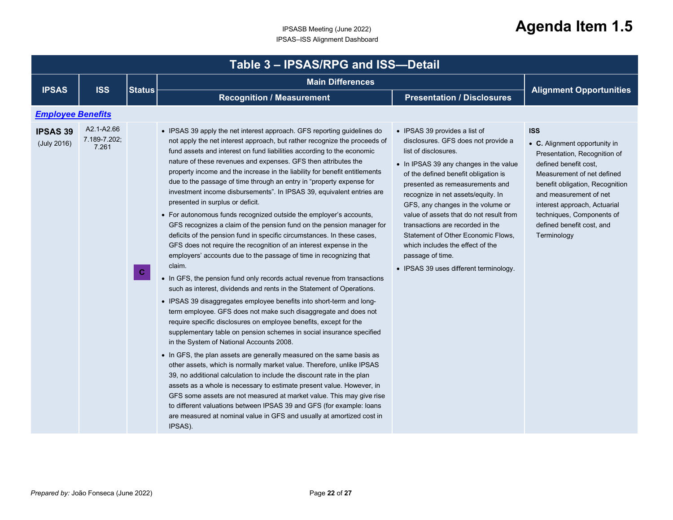<span id="page-21-0"></span>

|                                | Table 3 - IPSAS/RPG and ISS-Detail  |               |                                                                                                                                                                                                                                                                                                                                                                                                                                                                                                                                                                                                                                                                                                                                                                                                                                                                                                                                                                                                                                                                                                                                                                                                                                                                                                                                                                                                                                                                                                                                                                                                                                                                                                                                                                                                                                                                                                                                                                                       |                                                                                                                                                                                                                                                                                                                                                                                                                                                                                                                     |                                                                                                                                                                                                                                                                                                          |  |  |
|--------------------------------|-------------------------------------|---------------|---------------------------------------------------------------------------------------------------------------------------------------------------------------------------------------------------------------------------------------------------------------------------------------------------------------------------------------------------------------------------------------------------------------------------------------------------------------------------------------------------------------------------------------------------------------------------------------------------------------------------------------------------------------------------------------------------------------------------------------------------------------------------------------------------------------------------------------------------------------------------------------------------------------------------------------------------------------------------------------------------------------------------------------------------------------------------------------------------------------------------------------------------------------------------------------------------------------------------------------------------------------------------------------------------------------------------------------------------------------------------------------------------------------------------------------------------------------------------------------------------------------------------------------------------------------------------------------------------------------------------------------------------------------------------------------------------------------------------------------------------------------------------------------------------------------------------------------------------------------------------------------------------------------------------------------------------------------------------------------|---------------------------------------------------------------------------------------------------------------------------------------------------------------------------------------------------------------------------------------------------------------------------------------------------------------------------------------------------------------------------------------------------------------------------------------------------------------------------------------------------------------------|----------------------------------------------------------------------------------------------------------------------------------------------------------------------------------------------------------------------------------------------------------------------------------------------------------|--|--|
|                                |                                     | <b>Status</b> | <b>Main Differences</b>                                                                                                                                                                                                                                                                                                                                                                                                                                                                                                                                                                                                                                                                                                                                                                                                                                                                                                                                                                                                                                                                                                                                                                                                                                                                                                                                                                                                                                                                                                                                                                                                                                                                                                                                                                                                                                                                                                                                                               |                                                                                                                                                                                                                                                                                                                                                                                                                                                                                                                     |                                                                                                                                                                                                                                                                                                          |  |  |
| <b>IPSAS</b>                   | <b>ISS</b>                          |               | <b>Recognition / Measurement</b>                                                                                                                                                                                                                                                                                                                                                                                                                                                                                                                                                                                                                                                                                                                                                                                                                                                                                                                                                                                                                                                                                                                                                                                                                                                                                                                                                                                                                                                                                                                                                                                                                                                                                                                                                                                                                                                                                                                                                      | <b>Presentation / Disclosures</b>                                                                                                                                                                                                                                                                                                                                                                                                                                                                                   | <b>Alignment Opportunities</b>                                                                                                                                                                                                                                                                           |  |  |
| <b>Employee Benefits</b>       |                                     |               |                                                                                                                                                                                                                                                                                                                                                                                                                                                                                                                                                                                                                                                                                                                                                                                                                                                                                                                                                                                                                                                                                                                                                                                                                                                                                                                                                                                                                                                                                                                                                                                                                                                                                                                                                                                                                                                                                                                                                                                       |                                                                                                                                                                                                                                                                                                                                                                                                                                                                                                                     |                                                                                                                                                                                                                                                                                                          |  |  |
| <b>IPSAS 39</b><br>(July 2016) | A2.1-A2.66<br>7.189-7.202:<br>7.261 | $\mathbf{C}$  | • IPSAS 39 apply the net interest approach. GFS reporting guidelines do<br>not apply the net interest approach, but rather recognize the proceeds of<br>fund assets and interest on fund liabilities according to the economic<br>nature of these revenues and expenses. GFS then attributes the<br>property income and the increase in the liability for benefit entitlements<br>due to the passage of time through an entry in "property expense for<br>investment income disbursements". In IPSAS 39, equivalent entries are<br>presented in surplus or deficit.<br>• For autonomous funds recognized outside the employer's accounts,<br>GFS recognizes a claim of the pension fund on the pension manager for<br>deficits of the pension fund in specific circumstances. In these cases,<br>GFS does not require the recognition of an interest expense in the<br>employers' accounts due to the passage of time in recognizing that<br>claim.<br>• In GFS, the pension fund only records actual revenue from transactions<br>such as interest, dividends and rents in the Statement of Operations.<br>• IPSAS 39 disaggregates employee benefits into short-term and long-<br>term employee. GFS does not make such disaggregate and does not<br>require specific disclosures on employee benefits, except for the<br>supplementary table on pension schemes in social insurance specified<br>in the System of National Accounts 2008.<br>• In GFS, the plan assets are generally measured on the same basis as<br>other assets, which is normally market value. Therefore, unlike IPSAS<br>39, no additional calculation to include the discount rate in the plan<br>assets as a whole is necessary to estimate present value. However, in<br>GFS some assets are not measured at market value. This may give rise<br>to different valuations between IPSAS 39 and GFS (for example: loans<br>are measured at nominal value in GFS and usually at amortized cost in<br>IPSAS). | • IPSAS 39 provides a list of<br>disclosures. GFS does not provide a<br>list of disclosures.<br>• In IPSAS 39 any changes in the value<br>of the defined benefit obligation is<br>presented as remeasurements and<br>recognize in net assets/equity. In<br>GFS, any changes in the volume or<br>value of assets that do not result from<br>transactions are recorded in the<br>Statement of Other Economic Flows,<br>which includes the effect of the<br>passage of time.<br>• IPSAS 39 uses different terminology. | <b>ISS</b><br>• C. Alignment opportunity in<br>Presentation, Recognition of<br>defined benefit cost,<br>Measurement of net defined<br>benefit obligation, Recognition<br>and measurement of net<br>interest approach, Actuarial<br>techniques, Components of<br>defined benefit cost, and<br>Terminology |  |  |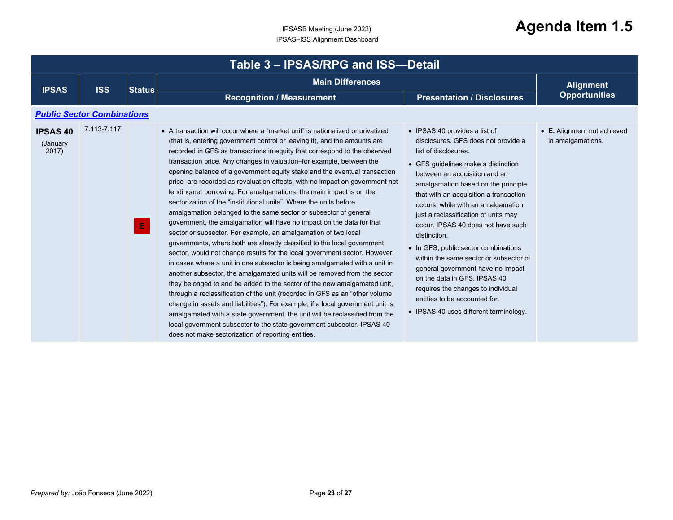<span id="page-22-0"></span>

| Table 3 - IPSAS/RPG and ISS-Detail   |                                   |               |                                                                                                                                                                                                                                                                                                                                                                                                                                                                                                                                                                                                                                                                                                                                                                                                                                                                                                                                                                                                                                                                                                                                                                                                                                                                                                                                                                                                                                                                                                                                                                                                                         |                                                                                                                                                                                                                                                                                                                                                                                                                                                                                                                                                                                                                                                                   |                                                  |  |
|--------------------------------------|-----------------------------------|---------------|-------------------------------------------------------------------------------------------------------------------------------------------------------------------------------------------------------------------------------------------------------------------------------------------------------------------------------------------------------------------------------------------------------------------------------------------------------------------------------------------------------------------------------------------------------------------------------------------------------------------------------------------------------------------------------------------------------------------------------------------------------------------------------------------------------------------------------------------------------------------------------------------------------------------------------------------------------------------------------------------------------------------------------------------------------------------------------------------------------------------------------------------------------------------------------------------------------------------------------------------------------------------------------------------------------------------------------------------------------------------------------------------------------------------------------------------------------------------------------------------------------------------------------------------------------------------------------------------------------------------------|-------------------------------------------------------------------------------------------------------------------------------------------------------------------------------------------------------------------------------------------------------------------------------------------------------------------------------------------------------------------------------------------------------------------------------------------------------------------------------------------------------------------------------------------------------------------------------------------------------------------------------------------------------------------|--------------------------------------------------|--|
| <b>IPSAS</b>                         | <b>ISS</b>                        | <b>Status</b> | <b>Main Differences</b>                                                                                                                                                                                                                                                                                                                                                                                                                                                                                                                                                                                                                                                                                                                                                                                                                                                                                                                                                                                                                                                                                                                                                                                                                                                                                                                                                                                                                                                                                                                                                                                                 |                                                                                                                                                                                                                                                                                                                                                                                                                                                                                                                                                                                                                                                                   | <b>Alignment</b>                                 |  |
|                                      |                                   |               | <b>Recognition / Measurement</b>                                                                                                                                                                                                                                                                                                                                                                                                                                                                                                                                                                                                                                                                                                                                                                                                                                                                                                                                                                                                                                                                                                                                                                                                                                                                                                                                                                                                                                                                                                                                                                                        | <b>Presentation / Disclosures</b>                                                                                                                                                                                                                                                                                                                                                                                                                                                                                                                                                                                                                                 | <b>Opportunities</b>                             |  |
|                                      | <b>Public Sector Combinations</b> |               |                                                                                                                                                                                                                                                                                                                                                                                                                                                                                                                                                                                                                                                                                                                                                                                                                                                                                                                                                                                                                                                                                                                                                                                                                                                                                                                                                                                                                                                                                                                                                                                                                         |                                                                                                                                                                                                                                                                                                                                                                                                                                                                                                                                                                                                                                                                   |                                                  |  |
| <b>IPSAS 40</b><br>(January<br>2017) | 7.113-7.117                       | E.            | • A transaction will occur where a "market unit" is nationalized or privatized<br>(that is, entering government control or leaving it), and the amounts are<br>recorded in GFS as transactions in equity that correspond to the observed<br>transaction price. Any changes in valuation-for example, between the<br>opening balance of a government equity stake and the eventual transaction<br>price–are recorded as revaluation effects, with no impact on government net<br>lending/net borrowing. For amalgamations, the main impact is on the<br>sectorization of the "institutional units". Where the units before<br>amalgamation belonged to the same sector or subsector of general<br>government, the amalgamation will have no impact on the data for that<br>sector or subsector. For example, an amalgamation of two local<br>governments, where both are already classified to the local government<br>sector, would not change results for the local government sector. However,<br>in cases where a unit in one subsector is being amalgamated with a unit in<br>another subsector, the amalgamated units will be removed from the sector<br>they belonged to and be added to the sector of the new amalgamated unit,<br>through a reclassification of the unit (recorded in GFS as an "other volume"<br>change in assets and liabilities"). For example, if a local government unit is<br>amalgamated with a state government, the unit will be reclassified from the<br>local government subsector to the state government subsector. IPSAS 40<br>does not make sectorization of reporting entities. | • IPSAS 40 provides a list of<br>disclosures. GFS does not provide a<br>list of disclosures.<br>• GFS guidelines make a distinction<br>between an acquisition and an<br>amalgamation based on the principle<br>that with an acquisition a transaction<br>occurs, while with an amalgamation<br>just a reclassification of units may<br>occur. IPSAS 40 does not have such<br>distinction.<br>• In GFS, public sector combinations<br>within the same sector or subsector of<br>general government have no impact<br>on the data in GFS. IPSAS 40<br>requires the changes to individual<br>entities to be accounted for.<br>• IPSAS 40 uses different terminology. | • E. Alignment not achieved<br>in amalgamations. |  |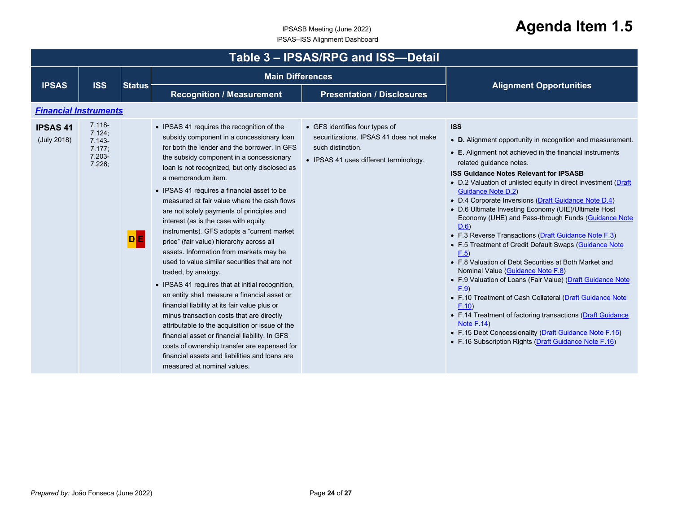<span id="page-23-0"></span>

| Table 3 - IPSAS/RPG and ISS-Detail |                                                                   |               |                                                                                                                                                                                                                                                                                                                                                                                                                                                                                                                                                                                                                                                                                                                                                                                                                                                                                                                                                                                                                                                                                                    |                                                                                                                                          |                                                                                                                                                                                                                                                                                                                                                                                                                                                                                                                                                                                                                                                                                                                                                                                                                                                                                                                                                                                                                                                                     |  |  |  |
|------------------------------------|-------------------------------------------------------------------|---------------|----------------------------------------------------------------------------------------------------------------------------------------------------------------------------------------------------------------------------------------------------------------------------------------------------------------------------------------------------------------------------------------------------------------------------------------------------------------------------------------------------------------------------------------------------------------------------------------------------------------------------------------------------------------------------------------------------------------------------------------------------------------------------------------------------------------------------------------------------------------------------------------------------------------------------------------------------------------------------------------------------------------------------------------------------------------------------------------------------|------------------------------------------------------------------------------------------------------------------------------------------|---------------------------------------------------------------------------------------------------------------------------------------------------------------------------------------------------------------------------------------------------------------------------------------------------------------------------------------------------------------------------------------------------------------------------------------------------------------------------------------------------------------------------------------------------------------------------------------------------------------------------------------------------------------------------------------------------------------------------------------------------------------------------------------------------------------------------------------------------------------------------------------------------------------------------------------------------------------------------------------------------------------------------------------------------------------------|--|--|--|
|                                    | <b>ISS</b>                                                        |               | <b>Main Differences</b>                                                                                                                                                                                                                                                                                                                                                                                                                                                                                                                                                                                                                                                                                                                                                                                                                                                                                                                                                                                                                                                                            |                                                                                                                                          |                                                                                                                                                                                                                                                                                                                                                                                                                                                                                                                                                                                                                                                                                                                                                                                                                                                                                                                                                                                                                                                                     |  |  |  |
| <b>IPSAS</b>                       |                                                                   | <b>Status</b> | <b>Recognition / Measurement</b>                                                                                                                                                                                                                                                                                                                                                                                                                                                                                                                                                                                                                                                                                                                                                                                                                                                                                                                                                                                                                                                                   | <b>Presentation / Disclosures</b>                                                                                                        | <b>Alignment Opportunities</b>                                                                                                                                                                                                                                                                                                                                                                                                                                                                                                                                                                                                                                                                                                                                                                                                                                                                                                                                                                                                                                      |  |  |  |
| <b>Financial Instruments</b>       |                                                                   |               |                                                                                                                                                                                                                                                                                                                                                                                                                                                                                                                                                                                                                                                                                                                                                                                                                                                                                                                                                                                                                                                                                                    |                                                                                                                                          |                                                                                                                                                                                                                                                                                                                                                                                                                                                                                                                                                                                                                                                                                                                                                                                                                                                                                                                                                                                                                                                                     |  |  |  |
| <b>IPSAS 41</b><br>(July 2018)     | $7.118 -$<br>7.124;<br>$7.143 -$<br>7.177.<br>$7.203 -$<br>7.226; | <b>DE</b>     | • IPSAS 41 requires the recognition of the<br>subsidy component in a concessionary loan<br>for both the lender and the borrower. In GFS<br>the subsidy component in a concessionary<br>loan is not recognized, but only disclosed as<br>a memorandum item.<br>• IPSAS 41 requires a financial asset to be<br>measured at fair value where the cash flows<br>are not solely payments of principles and<br>interest (as is the case with equity<br>instruments). GFS adopts a "current market<br>price" (fair value) hierarchy across all<br>assets. Information from markets may be<br>used to value similar securities that are not<br>traded, by analogy.<br>• IPSAS 41 requires that at initial recognition,<br>an entity shall measure a financial asset or<br>financial liability at its fair value plus or<br>minus transaction costs that are directly<br>attributable to the acquisition or issue of the<br>financial asset or financial liability. In GFS<br>costs of ownership transfer are expensed for<br>financial assets and liabilities and loans are<br>measured at nominal values. | • GFS identifies four types of<br>securitizations. IPSAS 41 does not make<br>such distinction.<br>• IPSAS 41 uses different terminology. | <b>ISS</b><br>• D. Alignment opportunity in recognition and measurement.<br>• E. Alignment not achieved in the financial instruments<br>related guidance notes.<br><b>ISS Guidance Notes Relevant for IPSASB</b><br>• D.2 Valuation of unlisted equity in direct investment (Draft<br><b>Guidance Note D.2)</b><br>• D.4 Corporate Inversions (Draft Guidance Note D.4)<br>• D.6 Ultimate Investing Economy (UIE)/Ultimate Host<br>Economy (UHE) and Pass-through Funds (Guidance Note<br>D.6<br>• F.3 Reverse Transactions (Draft Guidance Note F.3)<br>• F.5 Treatment of Credit Default Swaps (Guidance Note<br>F.5<br>• F.8 Valuation of Debt Securities at Both Market and<br>Nominal Value (Guidance Note F.8)<br>• F.9 Valuation of Loans (Fair Value) (Draft Guidance Note<br>F.9<br>• F.10 Treatment of Cash Collateral (Draft Guidance Note<br>F.10<br>• F.14 Treatment of factoring transactions (Draft Guidance<br><b>Note F.14)</b><br>• F.15 Debt Concessionality (Draft Guidance Note F.15)<br>• F.16 Subscription Rights (Draft Guidance Note F.16) |  |  |  |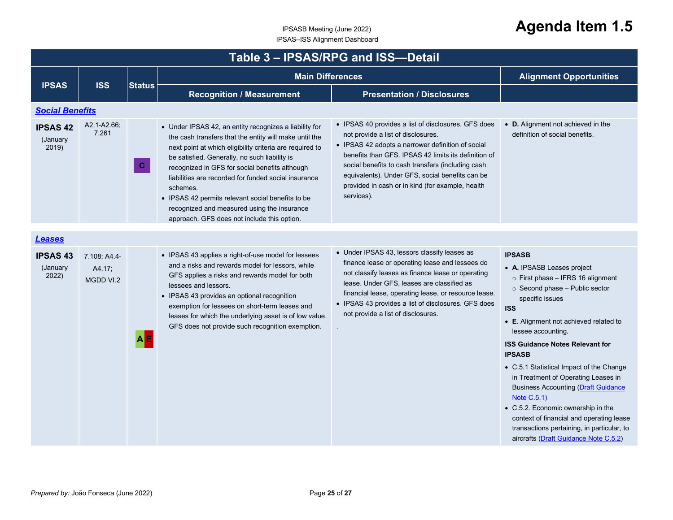<span id="page-24-0"></span>

| Table 3 - IPSAS/RPG and ISS-Detail   |                                     |               |                                                                                                                                                                                                                                                                                                                                                                                                                                                                                                        |                                                                                                                                                                                                                                                                                                                                                                                  |                                                                                                                                                                                                                                                                                                                                                                                                                                                                                                                                                                                                                     |  |  |
|--------------------------------------|-------------------------------------|---------------|--------------------------------------------------------------------------------------------------------------------------------------------------------------------------------------------------------------------------------------------------------------------------------------------------------------------------------------------------------------------------------------------------------------------------------------------------------------------------------------------------------|----------------------------------------------------------------------------------------------------------------------------------------------------------------------------------------------------------------------------------------------------------------------------------------------------------------------------------------------------------------------------------|---------------------------------------------------------------------------------------------------------------------------------------------------------------------------------------------------------------------------------------------------------------------------------------------------------------------------------------------------------------------------------------------------------------------------------------------------------------------------------------------------------------------------------------------------------------------------------------------------------------------|--|--|
| <b>IPSAS</b>                         | <b>ISS</b>                          | <b>Status</b> | <b>Main Differences</b>                                                                                                                                                                                                                                                                                                                                                                                                                                                                                |                                                                                                                                                                                                                                                                                                                                                                                  | <b>Alignment Opportunities</b>                                                                                                                                                                                                                                                                                                                                                                                                                                                                                                                                                                                      |  |  |
|                                      |                                     |               | <b>Recognition / Measurement</b>                                                                                                                                                                                                                                                                                                                                                                                                                                                                       | <b>Presentation / Disclosures</b>                                                                                                                                                                                                                                                                                                                                                |                                                                                                                                                                                                                                                                                                                                                                                                                                                                                                                                                                                                                     |  |  |
| <b>Social Benefits</b>               |                                     |               |                                                                                                                                                                                                                                                                                                                                                                                                                                                                                                        |                                                                                                                                                                                                                                                                                                                                                                                  |                                                                                                                                                                                                                                                                                                                                                                                                                                                                                                                                                                                                                     |  |  |
| <b>IPSAS 42</b><br>(January<br>2019) | A2.1-A2.66;<br>7.261                | $\mathbf{C}$  | • Under IPSAS 42, an entity recognizes a liability for<br>the cash transfers that the entity will make until the<br>next point at which eligibility criteria are required to<br>be satisfied. Generally, no such liability is<br>recognized in GFS for social benefits although<br>liabilities are recorded for funded social insurance<br>schemes.<br>• IPSAS 42 permits relevant social benefits to be<br>recognized and measured using the insurance<br>approach. GFS does not include this option. | • IPSAS 40 provides a list of disclosures. GFS does<br>not provide a list of disclosures.<br>• IPSAS 42 adopts a narrower definition of social<br>benefits than GFS. IPSAS 42 limits its definition of<br>social benefits to cash transfers (including cash<br>equivalents). Under GFS, social benefits can be<br>provided in cash or in kind (for example, health<br>services). | • D. Alignment not achieved in the<br>definition of social benefits.                                                                                                                                                                                                                                                                                                                                                                                                                                                                                                                                                |  |  |
| <b>Leases</b>                        |                                     |               |                                                                                                                                                                                                                                                                                                                                                                                                                                                                                                        |                                                                                                                                                                                                                                                                                                                                                                                  |                                                                                                                                                                                                                                                                                                                                                                                                                                                                                                                                                                                                                     |  |  |
| <b>IPSAS 43</b><br>(January<br>2022) | 7.108, A4.4-<br>A4.17;<br>MGDD VI.2 | <b>AE</b>     | • IPSAS 43 applies a right-of-use model for lessees<br>and a risks and rewards model for lessors, while<br>GFS applies a risks and rewards model for both<br>lessees and lessors.<br>• IPSAS 43 provides an optional recognition<br>exemption for lessees on short-term leases and<br>leases for which the underlying asset is of low value.<br>GFS does not provide such recognition exemption.                                                                                                       | • Under IPSAS 43, lessors classify leases as<br>finance lease or operating lease and lessees do<br>not classify leases as finance lease or operating<br>lease. Under GFS, leases are classified as<br>financial lease, operating lease, or resource lease.<br>• IPSAS 43 provides a list of disclosures. GFS does<br>not provide a list of disclosures.                          | <b>IPSASB</b><br>• A. IPSASB Leases project<br>$\circ$ First phase - IFRS 16 alignment<br>$\circ$ Second phase - Public sector<br>specific issues<br><b>ISS</b><br>• E. Alignment not achieved related to<br>lessee accounting.<br><b>ISS Guidance Notes Relevant for</b><br><b>IPSASB</b><br>• C.5.1 Statistical Impact of the Change<br>in Treatment of Operating Leases in<br><b>Business Accounting (Draft Guidance</b><br>Note C.5.1)<br>• C.5.2. Economic ownership in the<br>context of financial and operating lease<br>transactions pertaining, in particular, to<br>aircrafts (Draft Guidance Note C.5.2) |  |  |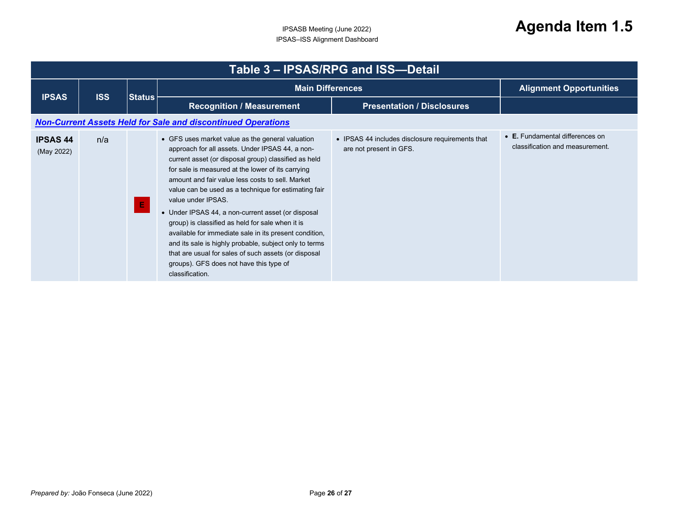<span id="page-25-0"></span>

|                               | Table 3 - IPSAS/RPG and ISS-Detail |               |                                                                                                                                                                                                                                                                                                                                                                                                                                                                                                                                                                                                                                                                                                        |                                                                             |                                                                    |  |  |
|-------------------------------|------------------------------------|---------------|--------------------------------------------------------------------------------------------------------------------------------------------------------------------------------------------------------------------------------------------------------------------------------------------------------------------------------------------------------------------------------------------------------------------------------------------------------------------------------------------------------------------------------------------------------------------------------------------------------------------------------------------------------------------------------------------------------|-----------------------------------------------------------------------------|--------------------------------------------------------------------|--|--|
|                               | <b>ISS</b>                         |               | <b>Main Differences</b>                                                                                                                                                                                                                                                                                                                                                                                                                                                                                                                                                                                                                                                                                |                                                                             | <b>Alignment Opportunities</b>                                     |  |  |
| <b>IPSAS</b>                  |                                    | <b>Status</b> | <b>Recognition / Measurement</b>                                                                                                                                                                                                                                                                                                                                                                                                                                                                                                                                                                                                                                                                       | <b>Presentation / Disclosures</b>                                           |                                                                    |  |  |
|                               |                                    |               | <b>Non-Current Assets Held for Sale and discontinued Operations</b>                                                                                                                                                                                                                                                                                                                                                                                                                                                                                                                                                                                                                                    |                                                                             |                                                                    |  |  |
| <b>IPSAS 44</b><br>(May 2022) | n/a                                | E             | • GFS uses market value as the general valuation<br>approach for all assets. Under IPSAS 44, a non-<br>current asset (or disposal group) classified as held<br>for sale is measured at the lower of its carrying<br>amount and fair value less costs to sell. Market<br>value can be used as a technique for estimating fair<br>value under IPSAS.<br>• Under IPSAS 44, a non-current asset (or disposal<br>group) is classified as held for sale when it is<br>available for immediate sale in its present condition,<br>and its sale is highly probable, subject only to terms<br>that are usual for sales of such assets (or disposal<br>groups). GFS does not have this type of<br>classification. | • IPSAS 44 includes disclosure requirements that<br>are not present in GFS. | • E. Fundamental differences on<br>classification and measurement. |  |  |